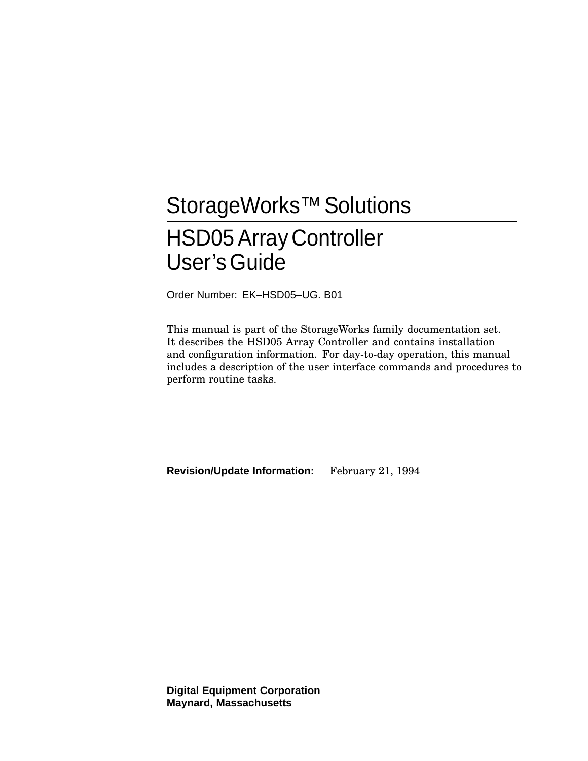# StorageWorks<sup>™</sup> Solutions HSD05Array Controller User'sGuide

Order Number: EK–HSD05–UG. B01

This manual is part of the StorageWorks family documentation set. It describes the HSD05 Array Controller and contains installation and configuration information. For day-to-day operation, this manual includes a description of the user interface commands and procedures to perform routine tasks.

**Revision/Update Information:** February 21, 1994

**Digital Equipment Corporation Maynard, Massachusetts**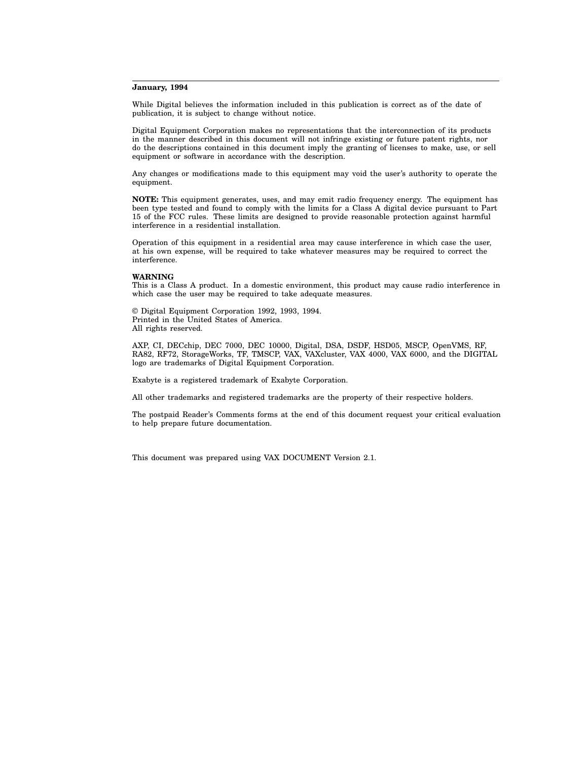#### **January, 1994**

While Digital believes the information included in this publication is correct as of the date of publication, it is subject to change without notice.

Digital Equipment Corporation makes no representations that the interconnection of its products in the manner described in this document will not infringe existing or future patent rights, nor do the descriptions contained in this document imply the granting of licenses to make, use, or sell equipment or software in accordance with the description.

Any changes or modifications made to this equipment may void the user's authority to operate the equipment.

**NOTE:** This equipment generates, uses, and may emit radio frequency energy. The equipment has been type tested and found to comply with the limits for a Class A digital device pursuant to Part 15 of the FCC rules. These limits are designed to provide reasonable protection against harmful interference in a residential installation.

Operation of this equipment in a residential area may cause interference in which case the user, at his own expense, will be required to take whatever measures may be required to correct the interference.

#### **WARNING**

This is a Class A product. In a domestic environment, this product may cause radio interference in which case the user may be required to take adequate measures.

© Digital Equipment Corporation 1992, 1993, 1994. Printed in the United States of America. All rights reserved.

AXP, CI, DECchip, DEC 7000, DEC 10000, Digital, DSA, DSDF, HSD05, MSCP, OpenVMS, RF, RA82, RF72, StorageWorks, TF, TMSCP, VAX, VAXcluster, VAX 4000, VAX 6000, and the DIGITAL logo are trademarks of Digital Equipment Corporation.

Exabyte is a registered trademark of Exabyte Corporation.

All other trademarks and registered trademarks are the property of their respective holders.

The postpaid Reader's Comments forms at the end of this document request your critical evaluation to help prepare future documentation.

This document was prepared using VAX DOCUMENT Version 2.1.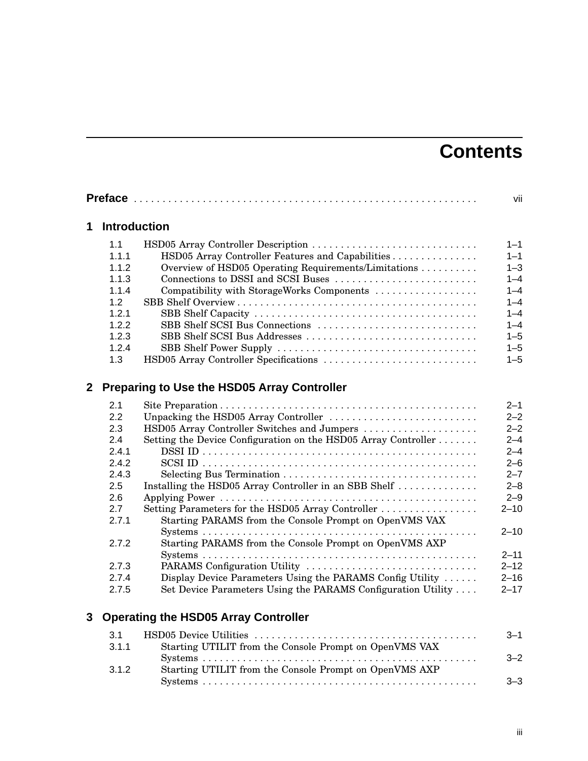## **Contents**

|              |                     |                                                                | vii      |
|--------------|---------------------|----------------------------------------------------------------|----------|
| 1            | <b>Introduction</b> |                                                                |          |
|              | 1.1                 | HSD05 Array Controller Description                             | $1 - 1$  |
|              | 1.1.1               | HSD05 Array Controller Features and Capabilities               | $1 - 1$  |
|              | 1.1.2               | Overview of HSD05 Operating Requirements/Limitations           | $1 - 3$  |
|              | 1.1.3               | Connections to DSSI and SCSI Buses                             | $1 - 4$  |
|              | 1.1.4               | Compatibility with StorageWorks Components                     | $1 - 4$  |
|              | 1.2                 |                                                                | $1 - 4$  |
|              | 1.2.1               |                                                                | $1 - 4$  |
|              | 1.2.2               | SBB Shelf SCSI Bus Connections                                 | $1 - 4$  |
|              | 1.2.3               | SBB Shelf SCSI Bus Addresses                                   | $1 - 5$  |
|              | 1.2.4               |                                                                | $1 - 5$  |
|              | 1.3                 | HSD05 Array Controller Specifications                          | $1 - 5$  |
| $\mathbf{2}$ |                     | <b>Preparing to Use the HSD05 Array Controller</b>             |          |
|              | 2.1                 |                                                                | $2 - 1$  |
|              | 2.2                 | Unpacking the HSD05 Array Controller                           | $2 - 2$  |
|              | 2.3                 | HSD05 Array Controller Switches and Jumpers                    | $2 - 2$  |
|              | 2.4                 | Setting the Device Configuration on the HSD05 Array Controller | $2 - 4$  |
|              | 2.4.1               |                                                                | $2 - 4$  |
|              | 2.4.2               |                                                                | $2 - 6$  |
|              | 2.4.3               |                                                                | $2 - 7$  |
|              | 2.5                 | Installing the HSD05 Array Controller in an SBB Shelf          | $2 - 8$  |
|              | 2.6                 |                                                                | $2 - 9$  |
|              | 2.7                 | Setting Parameters for the HSD05 Array Controller              | $2 - 10$ |
|              | 2.7.1               | Starting PARAMS from the Console Prompt on OpenVMS VAX         |          |
|              |                     |                                                                | $2 - 10$ |
|              | 2.7.2               | Starting PARAMS from the Console Prompt on OpenVMS AXP         |          |
|              |                     |                                                                | $2 - 11$ |
|              | 2.7.3               | PARAMS Configuration Utility                                   | $2 - 12$ |
|              | 2.7.4               | Display Device Parameters Using the PARAMS Config Utility      | $2 - 16$ |
|              | 2.7.5               | Set Device Parameters Using the PARAMS Configuration Utility   | $2 - 17$ |
| 3            |                     | <b>Operating the HSD05 Array Controller</b>                    |          |
|              | 3.1                 |                                                                | $3 - 1$  |
|              | 3.1.1               | Starting UTILIT from the Console Prompt on OpenVMS VAX         |          |
|              |                     |                                                                | $3 - 2$  |

3.1.2 Starting UTILIT from the Console Prompt on OpenVMS AXP

Systems . . . . . . . . . . . . . . . . . . . . . . . . . . . . . . . . . . . . . . . . . . . . . . . . 3–3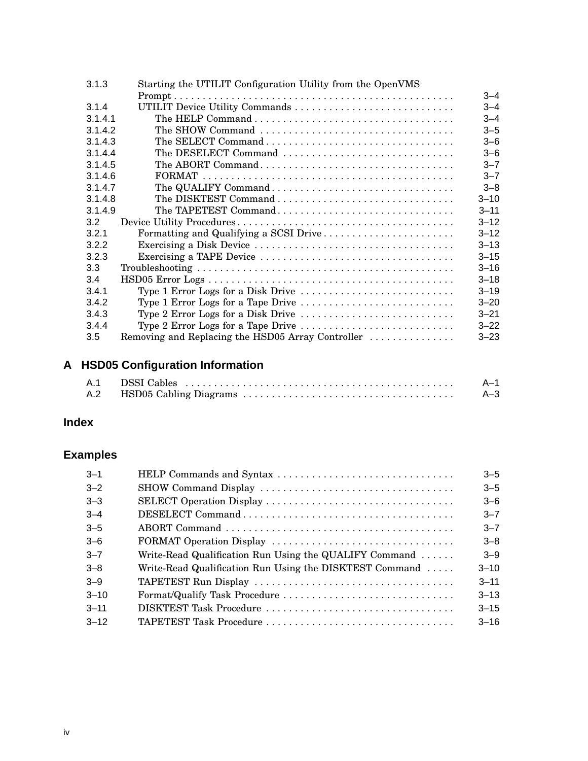| 3.1.3   | Starting the UTILIT Configuration Utility from the OpenVMS |          |  |
|---------|------------------------------------------------------------|----------|--|
|         |                                                            | $3 - 4$  |  |
| 3.1.4   | UTILIT Device Utility Commands                             | $3 - 4$  |  |
| 3.1.4.1 |                                                            | $3 - 4$  |  |
| 3.1.4.2 | The SHOW Command                                           | $3 - 5$  |  |
| 3.1.4.3 |                                                            | $3 - 6$  |  |
| 3.1.4.4 | The DESELECT Command                                       | $3 - 6$  |  |
| 3.1.4.5 |                                                            | $3 - 7$  |  |
| 3.1.4.6 |                                                            | $3 - 7$  |  |
| 3.1.4.7 | The QUALIFY Command                                        | $3 - 8$  |  |
| 3.1.4.8 |                                                            | $3 - 10$ |  |
| 3.1.4.9 | The TAPETEST Command                                       | $3 - 11$ |  |
| 3.2     |                                                            | $3 - 12$ |  |
| 3.2.1   | Formatting and Qualifying a SCSI Drive                     | $3 - 12$ |  |
| 3.2.2   |                                                            | $3 - 13$ |  |
| 3.2.3   |                                                            | $3 - 15$ |  |
| 3.3     |                                                            | $3 - 16$ |  |
| 3.4     |                                                            | $3 - 18$ |  |
| 3.4.1   | Type 1 Error Logs for a Disk Drive                         | $3 - 19$ |  |
| 3.4.2   | Type 1 Error Logs for a Tape Drive                         | $3 - 20$ |  |
| 3.4.3   | Type 2 Error Logs for a Disk Drive                         | $3 - 21$ |  |
| 3.4.4   | Type 2 Error Logs for a Tape Drive                         | $3 - 22$ |  |
| 3.5     | Removing and Replacing the HSD05 Array Controller          | $3 - 23$ |  |

## **A HSD05 Configuration Information**

|  | $A-1$ |
|--|-------|
|  | $A-3$ |

## **Index**

## **Examples**

| $3 - 1$  | HELP Commands and Syntax                                | $3 - 5$  |
|----------|---------------------------------------------------------|----------|
| $3 - 2$  |                                                         | $3 - 5$  |
| $3 - 3$  |                                                         | $3 - 6$  |
| $-3-4$   |                                                         | $3 - 7$  |
| $3 - 5$  |                                                         | $3 - 7$  |
| $-6$     |                                                         | $3 - 8$  |
| $3 - 7$  | Write-Read Qualification Run Using the QUALIFY Command  | $3 - 9$  |
| $3 - 8$  | Write-Read Qualification Run Using the DISKTEST Command | $3 - 10$ |
| $3 - 9$  |                                                         | $3 - 11$ |
| $3 - 10$ | Format/Qualify Task Procedure                           | $3 - 13$ |
| $3 - 11$ | DISKTEST Task Procedure                                 | $3 - 15$ |
| $3 - 12$ | TAPETEST Task Procedure                                 | $3 - 16$ |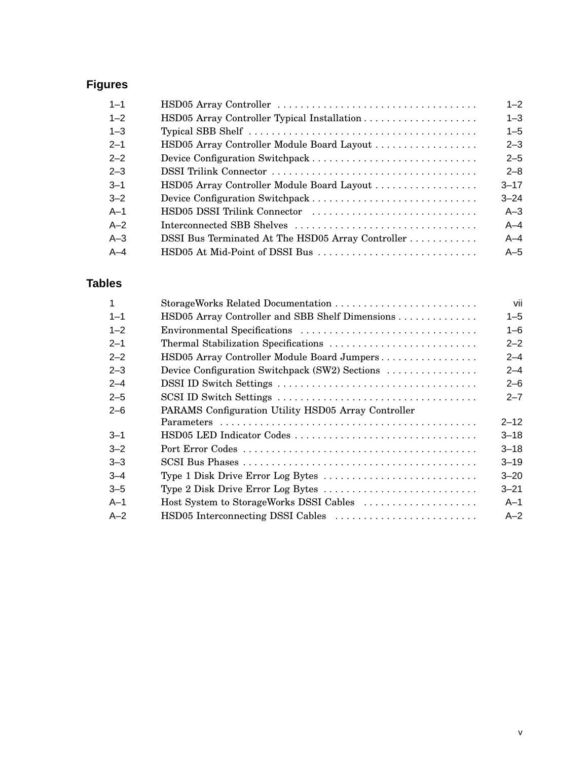## **Figures**

| $1 - 1$ |                                                   | $1 - 2$  |
|---------|---------------------------------------------------|----------|
| $1 - 2$ |                                                   | $1 - 3$  |
| $1 - 3$ |                                                   | $1 - 5$  |
| $2 - 1$ | HSD05 Array Controller Module Board Layout        | $2 - 3$  |
| $2 - 2$ |                                                   | $2 - 5$  |
| $2 - 3$ |                                                   | $2 - 8$  |
| $3 - 1$ | HSD05 Array Controller Module Board Layout        | $3 - 17$ |
| $3 - 2$ |                                                   | $3 - 24$ |
| $A-1$   | HSD05 DSSI Trilink Connector                      | $A-3$    |
| $A-2$   | Interconnected SBB Shelves                        | $A - 4$  |
| $A-3$   | DSSI Bus Terminated At The HSD05 Array Controller | $A - 4$  |
| $A-4$   | HSD05 At Mid-Point of DSSI Bus                    | $A-5$    |

## **Tables**

| 1       |                                                                                           | vii      |
|---------|-------------------------------------------------------------------------------------------|----------|
| $1 - 1$ | HSD05 Array Controller and SBB Shelf Dimensions                                           | $1 - 5$  |
| $1 - 2$ |                                                                                           | $1 - 6$  |
| $2 - 1$ |                                                                                           | $2 - 2$  |
| $2 - 2$ | HSD05 Array Controller Module Board Jumpers                                               | $2 - 4$  |
| $2 - 3$ | Device Configuration Switchpack (SW2) Sections                                            | $2 - 4$  |
| $2 - 4$ |                                                                                           | $2 - 6$  |
| $2 - 5$ |                                                                                           | $2 - 7$  |
| $2 - 6$ | PARAMS Configuration Utility HSD05 Array Controller                                       |          |
|         |                                                                                           | $2 - 12$ |
| $3 - 1$ | HSD05 LED Indicator Codes                                                                 | $3 - 18$ |
| $3 - 2$ |                                                                                           | $3 - 18$ |
| $3 - 3$ |                                                                                           | $3 - 19$ |
| $-4$    | Type 1 Disk Drive Error Log Bytes $\dots \dots \dots \dots \dots \dots \dots \dots \dots$ | $3 - 20$ |
| $3 - 5$ | Type 2 Disk Drive Error Log Bytes                                                         | $3 - 21$ |
| $A-1$   | Host System to StorageWorks DSSI Cables                                                   | $A-1$    |
| $A-2$   |                                                                                           | $A-2$    |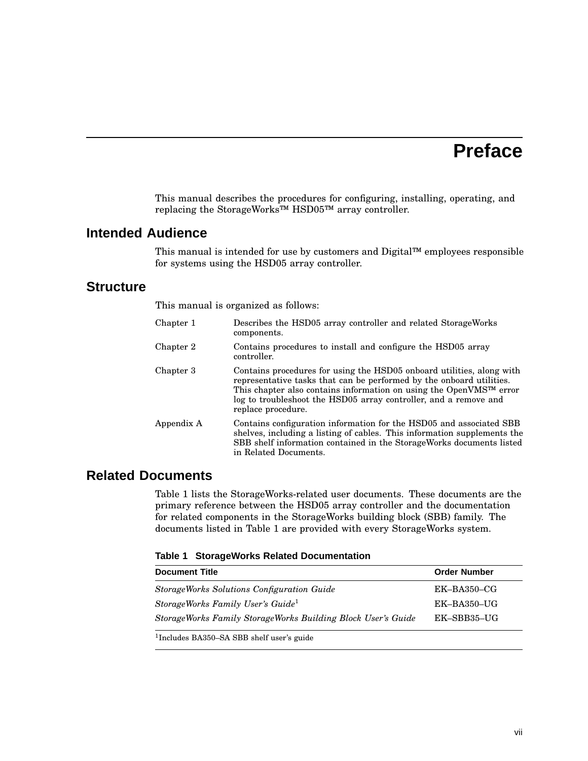## **Preface**

This manual describes the procedures for configuring, installing, operating, and replacing the StorageWorks™ HSD05™ array controller.

## **Intended Audience**

This manual is intended for use by customers and Digital™ employees responsible for systems using the HSD05 array controller.

## **Structure**

This manual is organized as follows:

| Chapter 1  | Describes the HSD05 array controller and related StorageWorks<br>components.                                                                                                                                                                                                                                               |
|------------|----------------------------------------------------------------------------------------------------------------------------------------------------------------------------------------------------------------------------------------------------------------------------------------------------------------------------|
| Chapter 2  | Contains procedures to install and configure the HSD05 array<br>controller.                                                                                                                                                                                                                                                |
| Chapter 3  | Contains procedures for using the HSD05 onboard utilities, along with<br>representative tasks that can be performed by the onboard utilities.<br>This chapter also contains information on using the OpenVMS <sup>TM</sup> error<br>log to troubleshoot the HSD05 array controller, and a remove and<br>replace procedure. |
| Appendix A | Contains configuration information for the HSD05 and associated SBB<br>shelves, including a listing of cables. This information supplements the<br>SBB shelf information contained in the StorageWorks documents listed<br>in Related Documents.                                                                           |

## **Related Documents**

Table 1 lists the StorageWorks-related user documents. These documents are the primary reference between the HSD05 array controller and the documentation for related components in the StorageWorks building block (SBB) family. The documents listed in Table 1 are provided with every StorageWorks system.

|  |  |  | Table 1 StorageWorks Related Documentation |
|--|--|--|--------------------------------------------|
|--|--|--|--------------------------------------------|

| <b>Document Title</b>                                        | <b>Order Number</b> |
|--------------------------------------------------------------|---------------------|
| <b>StorageWorks Solutions Configuration Guide</b>            | $EK$ -BA350-CG      |
| StorageWorks Family User's Guide <sup>1</sup>                | $EK-BA350-UG$       |
| StorageWorks Family StorageWorks Building Block User's Guide | EK-SBB35-UG         |
|                                                              |                     |

1 Includes BA350–SA SBB shelf user's guide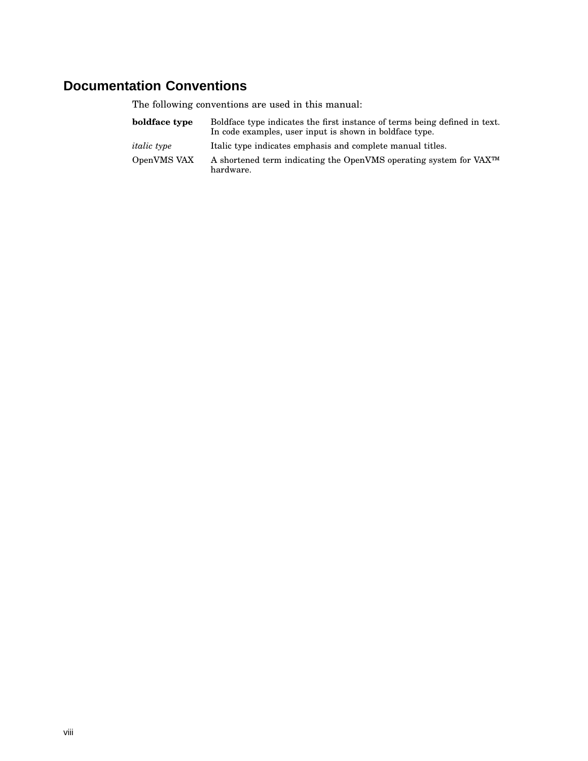## **Documentation Conventions**

The following conventions are used in this manual:

| boldface type      | Boldface type indicates the first instance of terms being defined in text.<br>In code examples, user input is shown in boldface type. |
|--------------------|---------------------------------------------------------------------------------------------------------------------------------------|
| <i>italic</i> type | Italic type indicates emphasis and complete manual titles.                                                                            |
| OpenVMS VAX        | A shortened term indicating the OpenVMS operating system for VAX <sup>TM</sup><br>hardware.                                           |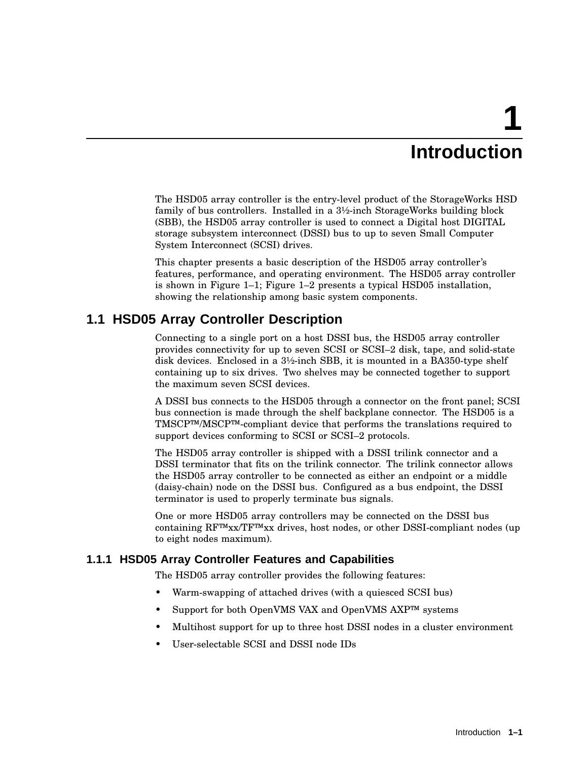# **1 Introduction**

The HSD05 array controller is the entry-level product of the StorageWorks HSD family of bus controllers. Installed in a 3½-inch StorageWorks building block (SBB), the HSD05 array controller is used to connect a Digital host DIGITAL storage subsystem interconnect (DSSI) bus to up to seven Small Computer System Interconnect (SCSI) drives.

This chapter presents a basic description of the HSD05 array controller's features, performance, and operating environment. The HSD05 array controller is shown in Figure 1–1; Figure 1–2 presents a typical HSD05 installation, showing the relationship among basic system components.

## **1.1 HSD05 Array Controller Description**

Connecting to a single port on a host DSSI bus, the HSD05 array controller provides connectivity for up to seven SCSI or SCSI–2 disk, tape, and solid-state disk devices. Enclosed in a 3½-inch SBB, it is mounted in a BA350-type shelf containing up to six drives. Two shelves may be connected together to support the maximum seven SCSI devices.

A DSSI bus connects to the HSD05 through a connector on the front panel; SCSI bus connection is made through the shelf backplane connector. The HSD05 is a TMSCP™/MSCP™-compliant device that performs the translations required to support devices conforming to SCSI or SCSI–2 protocols.

The HSD05 array controller is shipped with a DSSI trilink connector and a DSSI terminator that fits on the trilink connector. The trilink connector allows the HSD05 array controller to be connected as either an endpoint or a middle (daisy-chain) node on the DSSI bus. Configured as a bus endpoint, the DSSI terminator is used to properly terminate bus signals.

One or more HSD05 array controllers may be connected on the DSSI bus containing RF™xx/TF™xx drives, host nodes, or other DSSI-compliant nodes (up to eight nodes maximum).

### **1.1.1 HSD05 Array Controller Features and Capabilities**

The HSD05 array controller provides the following features:

- Warm-swapping of attached drives (with a quiesced SCSI bus)
- Support for both OpenVMS VAX and OpenVMS AXP™ systems
- Multihost support for up to three host DSSI nodes in a cluster environment
- User-selectable SCSI and DSSI node IDs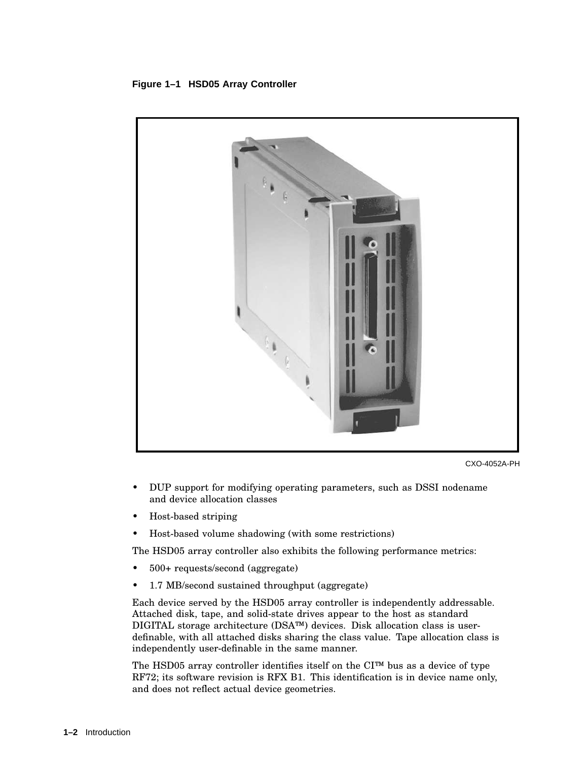#### **Figure 1–1 HSD05 Array Controller**



CXO-4052A-PH

- DUP support for modifying operating parameters, such as DSSI nodename and device allocation classes
- Host-based striping
- Host-based volume shadowing (with some restrictions)

The HSD05 array controller also exhibits the following performance metrics:

- 500+ requests/second (aggregate)
- 1.7 MB/second sustained throughput (aggregate)

Each device served by the HSD05 array controller is independently addressable. Attached disk, tape, and solid-state drives appear to the host as standard DIGITAL storage architecture (DSA™) devices. Disk allocation class is userdefinable, with all attached disks sharing the class value. Tape allocation class is independently user-definable in the same manner.

The HSD05 array controller identifies itself on the CI™ bus as a device of type RF72; its software revision is RFX B1. This identification is in device name only, and does not reflect actual device geometries.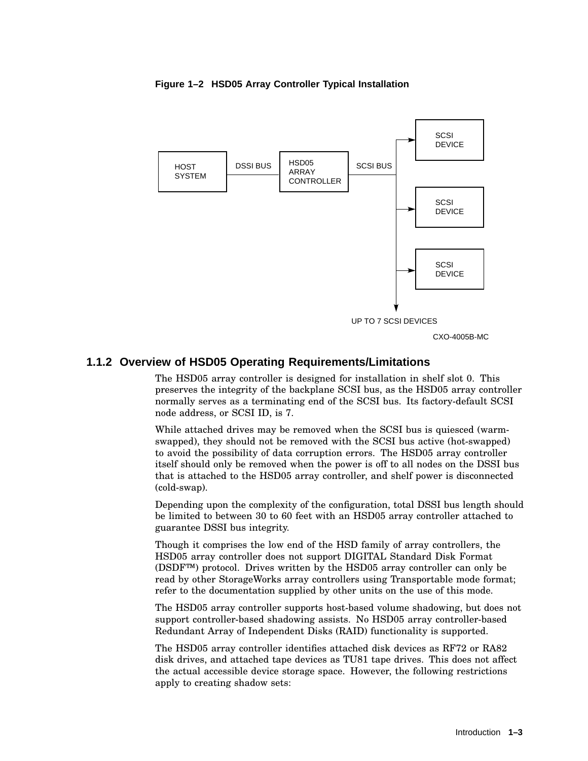

**Figure 1–2 HSD05 Array Controller Typical Installation**

CXO-4005B-MC

#### **1.1.2 Overview of HSD05 Operating Requirements/Limitations**

The HSD05 array controller is designed for installation in shelf slot 0. This preserves the integrity of the backplane SCSI bus, as the HSD05 array controller normally serves as a terminating end of the SCSI bus. Its factory-default SCSI node address, or SCSI ID, is 7.

While attached drives may be removed when the SCSI bus is quiesced (warmswapped), they should not be removed with the SCSI bus active (hot-swapped) to avoid the possibility of data corruption errors. The HSD05 array controller itself should only be removed when the power is off to all nodes on the DSSI bus that is attached to the HSD05 array controller, and shelf power is disconnected (cold-swap).

Depending upon the complexity of the configuration, total DSSI bus length should be limited to between 30 to 60 feet with an HSD05 array controller attached to guarantee DSSI bus integrity.

Though it comprises the low end of the HSD family of array controllers, the HSD05 array controller does not support DIGITAL Standard Disk Format (DSDF™) protocol. Drives written by the HSD05 array controller can only be read by other StorageWorks array controllers using Transportable mode format; refer to the documentation supplied by other units on the use of this mode.

The HSD05 array controller supports host-based volume shadowing, but does not support controller-based shadowing assists. No HSD05 array controller-based Redundant Array of Independent Disks (RAID) functionality is supported.

The HSD05 array controller identifies attached disk devices as RF72 or RA82 disk drives, and attached tape devices as TU81 tape drives. This does not affect the actual accessible device storage space. However, the following restrictions apply to creating shadow sets: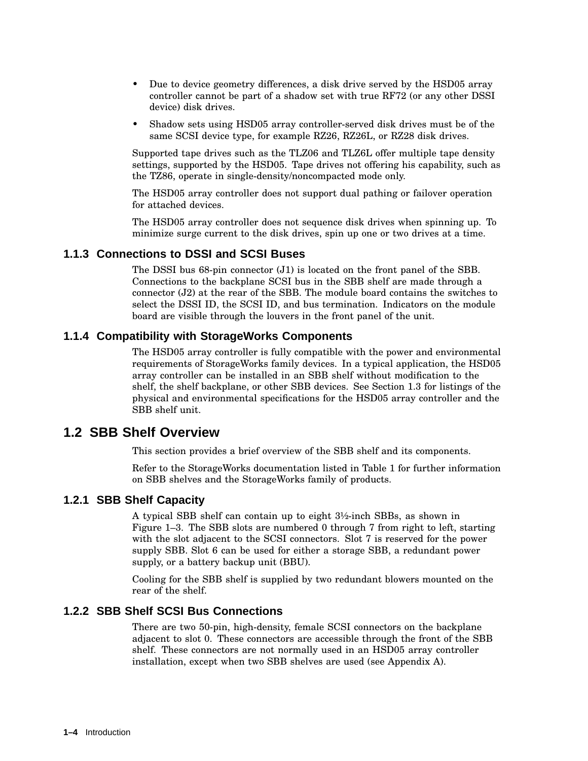- Due to device geometry differences, a disk drive served by the HSD05 array controller cannot be part of a shadow set with true RF72 (or any other DSSI device) disk drives.
- Shadow sets using HSD05 array controller-served disk drives must be of the same SCSI device type, for example RZ26, RZ26L, or RZ28 disk drives.

Supported tape drives such as the TLZ06 and TLZ6L offer multiple tape density settings, supported by the HSD05. Tape drives not offering his capability, such as the TZ86, operate in single-density/noncompacted mode only.

The HSD05 array controller does not support dual pathing or failover operation for attached devices.

The HSD05 array controller does not sequence disk drives when spinning up. To minimize surge current to the disk drives, spin up one or two drives at a time.

#### **1.1.3 Connections to DSSI and SCSI Buses**

The DSSI bus 68-pin connector (J1) is located on the front panel of the SBB. Connections to the backplane SCSI bus in the SBB shelf are made through a connector (J2) at the rear of the SBB. The module board contains the switches to select the DSSI ID, the SCSI ID, and bus termination. Indicators on the module board are visible through the louvers in the front panel of the unit.

#### **1.1.4 Compatibility with StorageWorks Components**

The HSD05 array controller is fully compatible with the power and environmental requirements of StorageWorks family devices. In a typical application, the HSD05 array controller can be installed in an SBB shelf without modification to the shelf, the shelf backplane, or other SBB devices. See Section 1.3 for listings of the physical and environmental specifications for the HSD05 array controller and the SBB shelf unit.

## **1.2 SBB Shelf Overview**

This section provides a brief overview of the SBB shelf and its components.

Refer to the StorageWorks documentation listed in Table 1 for further information on SBB shelves and the StorageWorks family of products.

#### **1.2.1 SBB Shelf Capacity**

A typical SBB shelf can contain up to eight 3½-inch SBBs, as shown in Figure 1–3. The SBB slots are numbered 0 through 7 from right to left, starting with the slot adjacent to the SCSI connectors. Slot 7 is reserved for the power supply SBB. Slot 6 can be used for either a storage SBB, a redundant power supply, or a battery backup unit (BBU).

Cooling for the SBB shelf is supplied by two redundant blowers mounted on the rear of the shelf.

#### **1.2.2 SBB Shelf SCSI Bus Connections**

There are two 50-pin, high-density, female SCSI connectors on the backplane adjacent to slot 0. These connectors are accessible through the front of the SBB shelf. These connectors are not normally used in an HSD05 array controller installation, except when two SBB shelves are used (see Appendix A).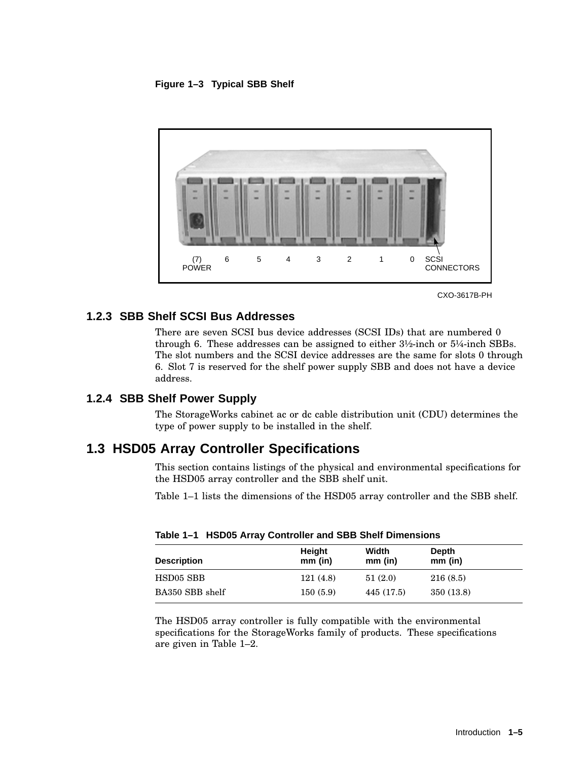**Figure 1–3 Typical SBB Shelf**



CXO-3617B-PH

#### **1.2.3 SBB Shelf SCSI Bus Addresses**

There are seven SCSI bus device addresses (SCSI IDs) that are numbered 0 through 6. These addresses can be assigned to either 3½-inch or 5¼-inch SBBs. The slot numbers and the SCSI device addresses are the same for slots 0 through 6. Slot 7 is reserved for the shelf power supply SBB and does not have a device address.

#### **1.2.4 SBB Shelf Power Supply**

The StorageWorks cabinet ac or dc cable distribution unit (CDU) determines the type of power supply to be installed in the shelf.

### **1.3 HSD05 Array Controller Specifications**

This section contains listings of the physical and environmental specifications for the HSD05 array controller and the SBB shelf unit.

Table 1–1 lists the dimensions of the HSD05 array controller and the SBB shelf.

| <b>Description</b> | Height<br>$mm$ (in) | Width<br>$mm$ (in) | Depth<br>$mm$ (in) |
|--------------------|---------------------|--------------------|--------------------|
| HSD05 SBB          | 121(4.8)            | 51(2.0)            | 216(8.5)           |
| BA350 SBB shelf    | 150(5.9)            | 445 (17.5)         | 350 (13.8)         |

**Table 1–1 HSD05 Array Controller and SBB Shelf Dimensions**

The HSD05 array controller is fully compatible with the environmental specifications for the StorageWorks family of products. These specifications are given in Table 1–2.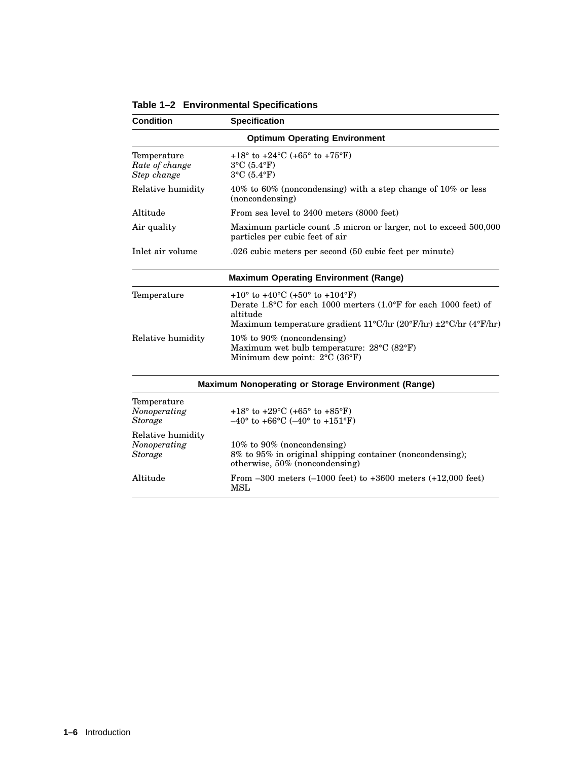| <b>Condition</b>                                    | <b>Specification</b>                                                                                                                                                                                                    |  |  |
|-----------------------------------------------------|-------------------------------------------------------------------------------------------------------------------------------------------------------------------------------------------------------------------------|--|--|
|                                                     | <b>Optimum Operating Environment</b>                                                                                                                                                                                    |  |  |
| Temperature<br>Rate of change<br>Step change        | $+18^{\circ}$ to $+24^{\circ}$ C (+65° to $+75^{\circ}$ F)<br>$3^{\circ}$ C (5.4°F)<br>$3^{\circ}$ C $(5.4^{\circ}F)$                                                                                                   |  |  |
| Relative humidity                                   | $40\%$ to 60% (noncondensing) with a step change of 10% or less<br>(noncondensing)                                                                                                                                      |  |  |
| Altitude                                            | From sea level to 2400 meters (8000 feet)                                                                                                                                                                               |  |  |
| Air quality                                         | Maximum particle count .5 micron or larger, not to exceed 500,000<br>particles per cubic feet of air                                                                                                                    |  |  |
| Inlet air volume                                    | .026 cubic meters per second (50 cubic feet per minute)                                                                                                                                                                 |  |  |
|                                                     | <b>Maximum Operating Environment (Range)</b>                                                                                                                                                                            |  |  |
| Temperature                                         | +10 $\degree$ to +40 $\degree$ C (+50 $\degree$ to +104 $\degree$ F)<br>Derate 1.8°C for each 1000 merters (1.0°F for each 1000 feet) of<br>altitude<br>Maximum temperature gradient 11°C/hr (20°F/hr) ±2°C/hr (4°F/hr) |  |  |
| Relative humidity                                   | 10% to 90% (noncondensing)<br>Maximum wet bulb temperature: 28°C (82°F)<br>Minimum dew point: 2°C (36°F)                                                                                                                |  |  |
|                                                     | Maximum Nonoperating or Storage Environment (Range)                                                                                                                                                                     |  |  |
| Temperature<br>Nonoperating<br><b>Storage</b>       | +18° to +29°C (+65° to +85°F)<br>$-40^{\circ}$ to +66°C (-40° to +151°F)                                                                                                                                                |  |  |
| Relative humidity<br>Nonoperating<br><b>Storage</b> | 10% to 90% (noncondensing)<br>8% to 95% in original shipping container (noncondensing);<br>otherwise, $50\%$ (noncondensing)                                                                                            |  |  |
| Altitude                                            | From $-300$ meters $(-1000$ feet) to $+3600$ meters $(+12,000$ feet)<br>MSL                                                                                                                                             |  |  |

**Table 1–2 Environmental Specifications**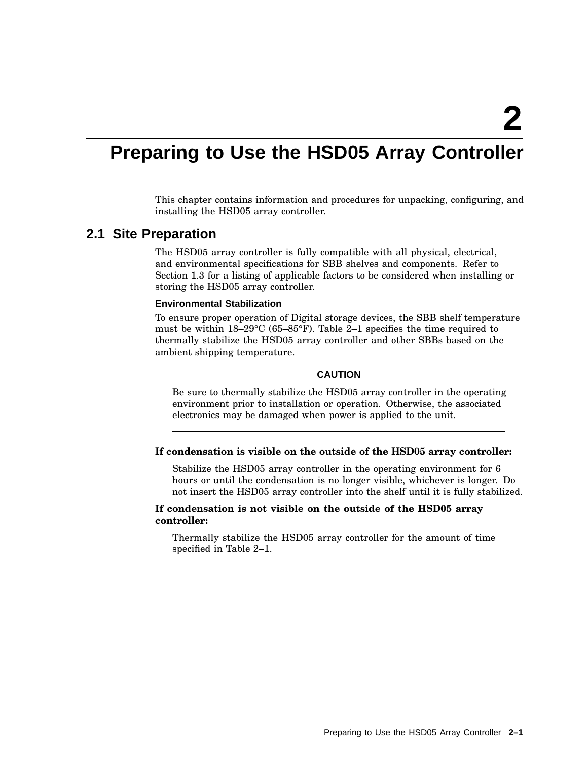## **Preparing to Use the HSD05 Array Controller**

This chapter contains information and procedures for unpacking, configuring, and installing the HSD05 array controller.

## **2.1 Site Preparation**

The HSD05 array controller is fully compatible with all physical, electrical, and environmental specifications for SBB shelves and components. Refer to Section 1.3 for a listing of applicable factors to be considered when installing or storing the HSD05 array controller.

#### **Environmental Stabilization**

To ensure proper operation of Digital storage devices, the SBB shelf temperature must be within 18–29°C (65–85°F). Table 2–1 specifies the time required to thermally stabilize the HSD05 array controller and other SBBs based on the ambient shipping temperature.

#### $\_$  CAUTION  $\_$

Be sure to thermally stabilize the HSD05 array controller in the operating environment prior to installation or operation. Otherwise, the associated electronics may be damaged when power is applied to the unit.

#### **If condensation is visible on the outside of the HSD05 array controller:**

Stabilize the HSD05 array controller in the operating environment for 6 hours or until the condensation is no longer visible, whichever is longer. Do not insert the HSD05 array controller into the shelf until it is fully stabilized.

#### **If condensation is not visible on the outside of the HSD05 array controller:**

Thermally stabilize the HSD05 array controller for the amount of time specified in Table 2–1.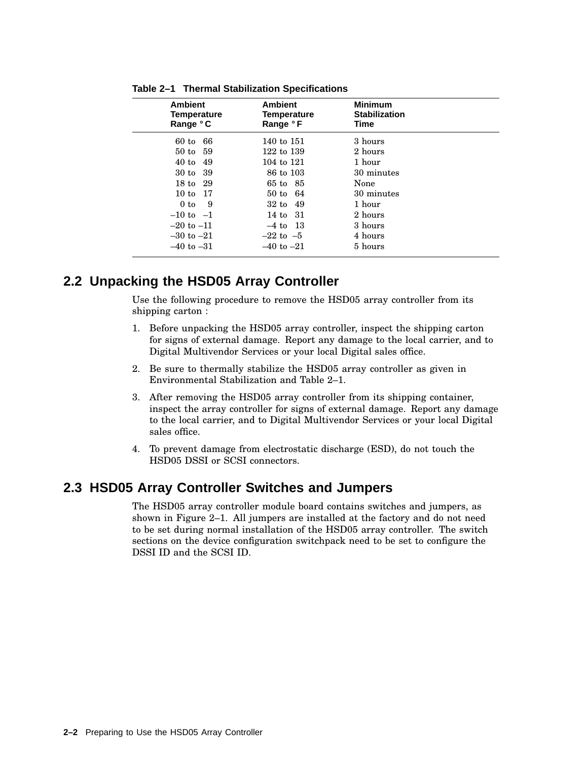| <b>Ambient</b><br>Temperature<br>Range °C | <b>Ambient</b><br><b>Temperature</b><br>Range °F | <b>Minimum</b><br><b>Stabilization</b><br>Time |  |
|-------------------------------------------|--------------------------------------------------|------------------------------------------------|--|
| 66<br>$60$ to                             | 140 to 151                                       | 3 hours                                        |  |
| 50 to 59                                  | 122 to 139                                       | 2 hours                                        |  |
| 40t<br>49                                 | 104 to 121                                       | 1 hour                                         |  |
| 30 to 39                                  | 86 to 103                                        | 30 minutes                                     |  |
| 18 to 29                                  | 65 to 85                                         | None                                           |  |
| 10 to 17                                  | $50 \text{ to } 64$                              | 30 minutes                                     |  |
| 9<br>0 <sub>to</sub>                      | $32 \text{ to } 49$                              | 1 hour                                         |  |
| $-10$ to $-1$                             | 14 to 31                                         | 2 hours                                        |  |
| $-20$ to $-11$                            | $-4$ to $13$                                     | 3 hours                                        |  |
| $-30$ to $-21$                            | $-22$ to $-5$                                    | 4 hours                                        |  |
| $-40$ to $-31$                            | $-40$ to $-21$                                   | 5 hours                                        |  |
|                                           |                                                  |                                                |  |

**Table 2–1 Thermal Stabilization Specifications**

## **2.2 Unpacking the HSD05 Array Controller**

Use the following procedure to remove the HSD05 array controller from its shipping carton :

- 1. Before unpacking the HSD05 array controller, inspect the shipping carton for signs of external damage. Report any damage to the local carrier, and to Digital Multivendor Services or your local Digital sales office.
- 2. Be sure to thermally stabilize the HSD05 array controller as given in Environmental Stabilization and Table 2–1.
- 3. After removing the HSD05 array controller from its shipping container, inspect the array controller for signs of external damage. Report any damage to the local carrier, and to Digital Multivendor Services or your local Digital sales office.
- 4. To prevent damage from electrostatic discharge (ESD), do not touch the HSD05 DSSI or SCSI connectors.

## **2.3 HSD05 Array Controller Switches and Jumpers**

The HSD05 array controller module board contains switches and jumpers, as shown in Figure 2–1. All jumpers are installed at the factory and do not need to be set during normal installation of the HSD05 array controller. The switch sections on the device configuration switchpack need to be set to configure the DSSI ID and the SCSI ID.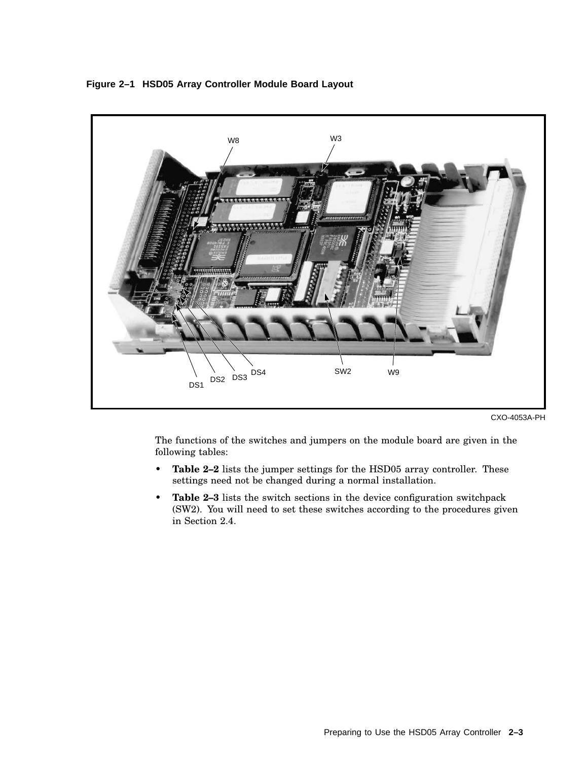

**Figure 2–1 HSD05 Array Controller Module Board Layout**

CXO-4053A-PH

The functions of the switches and jumpers on the module board are given in the following tables:

- **Table 2–2** lists the jumper settings for the HSD05 array controller. These settings need not be changed during a normal installation.
- **Table 2–3** lists the switch sections in the device configuration switchpack (SW2). You will need to set these switches according to the procedures given in Section 2.4.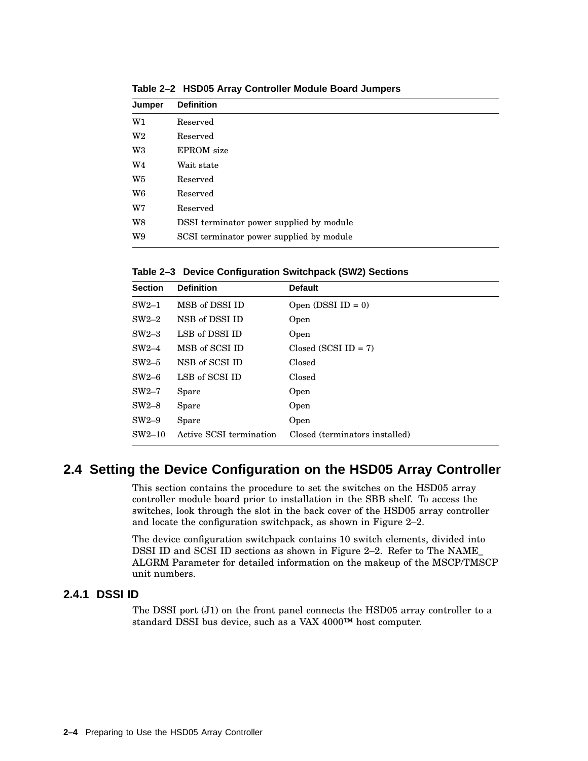| <b>Definition</b>                        |
|------------------------------------------|
| Reserved                                 |
| Reserved                                 |
| <b>EPROM</b> size                        |
| Wait state                               |
| Reserved                                 |
| Reserved                                 |
| Reserved                                 |
| DSSI terminator power supplied by module |
| SCSI terminator power supplied by module |
|                                          |

**Table 2–2 HSD05 Array Controller Module Board Jumpers**

**Table 2–3 Device Configuration Switchpack (SW2) Sections**

| <b>Section</b> | <b>Definition</b>       | <b>Default</b>                 |
|----------------|-------------------------|--------------------------------|
| $SW2-1$        | MSB of DSSI ID          | Open (DSSI ID = $0$ )          |
| $SW2-2$        | NSB of DSSI ID          | Open                           |
| $SW2-3$        | LSB of DSSI ID          | Open                           |
| $SW2-4$        | MSB of SCSI ID          | $Closed (SCSI ID = 7)$         |
| $SW2-5$        | NSB of SCSI ID          | Closed                         |
| $SW2-6$        | LSB of SCSI ID          | Closed                         |
| $SW2-7$        | Spare                   | Open                           |
| $SW2-8$        | Spare                   | Open                           |
| $SW2-9$        | Spare                   | Open                           |
| $SW2-10$       | Active SCSI termination | Closed (terminators installed) |

## **2.4 Setting the Device Configuration on the HSD05 Array Controller**

This section contains the procedure to set the switches on the HSD05 array controller module board prior to installation in the SBB shelf. To access the switches, look through the slot in the back cover of the HSD05 array controller and locate the configuration switchpack, as shown in Figure 2–2.

The device configuration switchpack contains 10 switch elements, divided into DSSI ID and SCSI ID sections as shown in Figure 2–2. Refer to The NAME\_ ALGRM Parameter for detailed information on the makeup of the MSCP/TMSCP unit numbers.

#### **2.4.1 DSSI ID**

The DSSI port (J1) on the front panel connects the HSD05 array controller to a standard DSSI bus device, such as a VAX 4000™ host computer.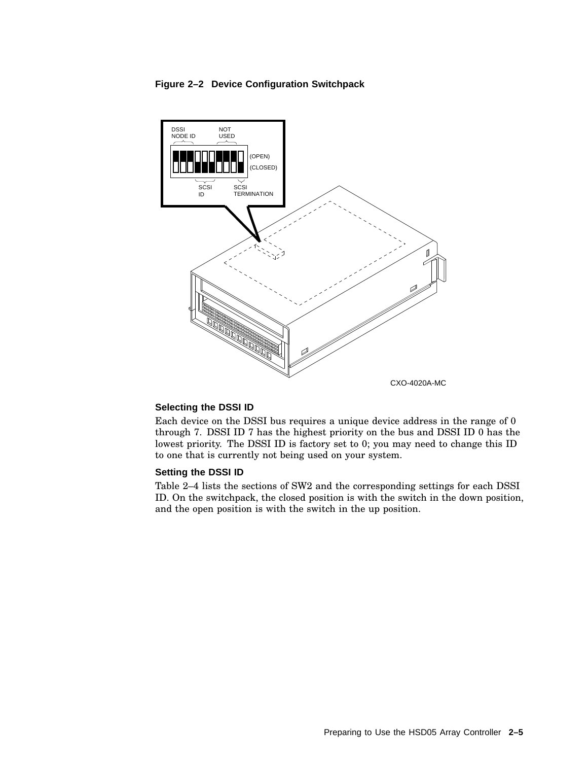#### **Figure 2–2 Device Configuration Switchpack**



#### **Selecting the DSSI ID**

Each device on the DSSI bus requires a unique device address in the range of 0 through 7. DSSI ID 7 has the highest priority on the bus and DSSI ID 0 has the lowest priority. The DSSI ID is factory set to 0; you may need to change this ID to one that is currently not being used on your system.

#### **Setting the DSSI ID**

Table 2–4 lists the sections of SW2 and the corresponding settings for each DSSI ID. On the switchpack, the closed position is with the switch in the down position, and the open position is with the switch in the up position.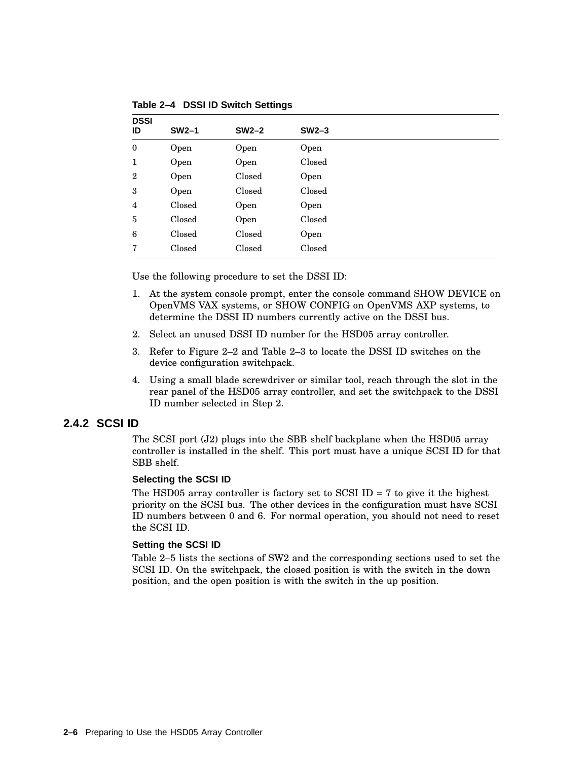| <b>DSSI</b><br>ID | $SW2-1$ | $SW2-2$ | $SW2-3$ |  |
|-------------------|---------|---------|---------|--|
| $\mathbf{0}$      | Open    | Open    | Open    |  |
| 1                 | Open    | Open    | Closed  |  |
| $\overline{2}$    | Open    | Closed  | Open    |  |
| 3                 | Open    | Closed  | Closed  |  |
| 4                 | Closed  | Open    | Open    |  |
| 5                 | Closed  | Open    | Closed  |  |
| 6                 | Closed  | Closed  | Open    |  |
| 7                 | Closed  | Closed  | Closed  |  |

**Table 2–4 DSSI ID Switch Settings**

Use the following procedure to set the DSSI ID:

- 1. At the system console prompt, enter the console command SHOW DEVICE on OpenVMS VAX systems, or SHOW CONFIG on OpenVMS AXP systems, to determine the DSSI ID numbers currently active on the DSSI bus.
- 2. Select an unused DSSI ID number for the HSD05 array controller.
- 3. Refer to Figure 2–2 and Table 2–3 to locate the DSSI ID switches on the device configuration switchpack.
- 4. Using a small blade screwdriver or similar tool, reach through the slot in the rear panel of the HSD05 array controller, and set the switchpack to the DSSI ID number selected in Step 2.

#### **2.4.2 SCSI ID**

The SCSI port  $(J2)$  plugs into the SBB shelf backplane when the HSD05 array controller is installed in the shelf. This port must have a unique SCSI ID for that SBB shelf.

#### **Selecting the SCSI ID**

The HSD05 array controller is factory set to SCSI ID  $= 7$  to give it the highest priority on the SCSI bus. The other devices in the configuration must have SCSI ID numbers between 0 and 6. For normal operation, you should not need to reset the SCSI ID.

#### **Setting the SCSI ID**

Table 2–5 lists the sections of SW2 and the corresponding sections used to set the SCSI ID. On the switchpack, the closed position is with the switch in the down position, and the open position is with the switch in the up position.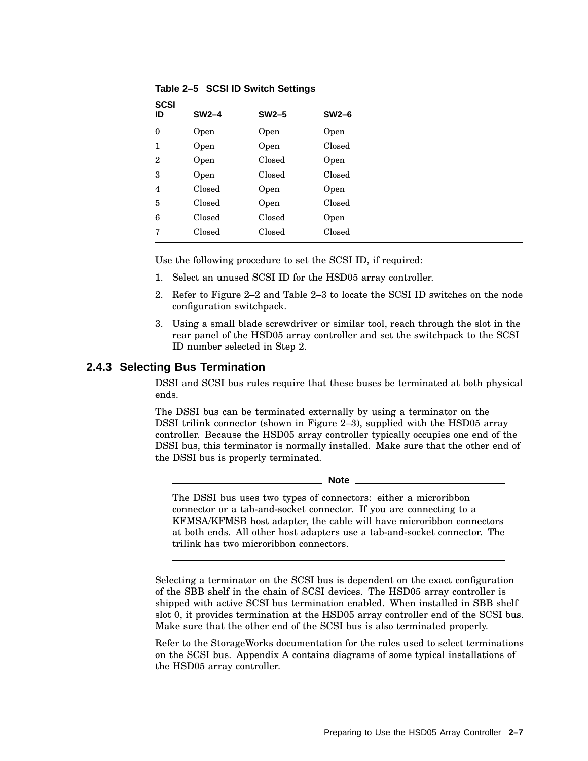|        |         | $SW2-6$ |
|--------|---------|---------|
| Open   | Open    | Open    |
| Open   | Open    | Closed  |
| Open   | Closed  | Open    |
| Open   | Closed  | Closed  |
| Closed | Open    | Open    |
| Closed | Open    | Closed  |
| Closed | Closed  | Open    |
| Closed | Closed  | Closed  |
|        | $SW2-4$ | $SW2-5$ |

**Table 2–5 SCSI ID Switch Settings**

Use the following procedure to set the SCSI ID, if required:

- 1. Select an unused SCSI ID for the HSD05 array controller.
- 2. Refer to Figure 2–2 and Table 2–3 to locate the SCSI ID switches on the node configuration switchpack.
- 3. Using a small blade screwdriver or similar tool, reach through the slot in the rear panel of the HSD05 array controller and set the switchpack to the SCSI ID number selected in Step 2.

#### **2.4.3 Selecting Bus Termination**

DSSI and SCSI bus rules require that these buses be terminated at both physical ends.

The DSSI bus can be terminated externally by using a terminator on the DSSI trilink connector (shown in Figure 2–3), supplied with the HSD05 array controller. Because the HSD05 array controller typically occupies one end of the DSSI bus, this terminator is normally installed. Make sure that the other end of the DSSI bus is properly terminated.

#### **Note**

The DSSI bus uses two types of connectors: either a microribbon connector or a tab-and-socket connector. If you are connecting to a KFMSA/KFMSB host adapter, the cable will have microribbon connectors at both ends. All other host adapters use a tab-and-socket connector. The trilink has two microribbon connectors.

Selecting a terminator on the SCSI bus is dependent on the exact configuration of the SBB shelf in the chain of SCSI devices. The HSD05 array controller is shipped with active SCSI bus termination enabled. When installed in SBB shelf slot 0, it provides termination at the HSD05 array controller end of the SCSI bus. Make sure that the other end of the SCSI bus is also terminated properly.

Refer to the StorageWorks documentation for the rules used to select terminations on the SCSI bus. Appendix A contains diagrams of some typical installations of the HSD05 array controller.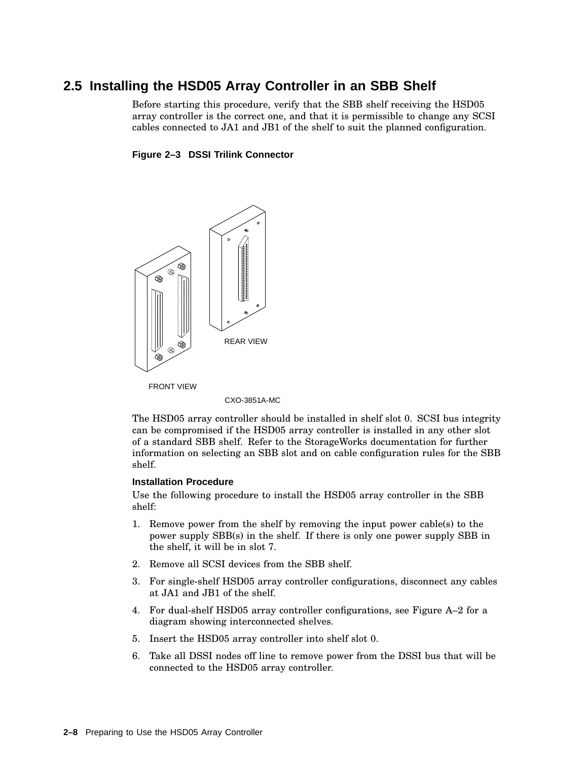## **2.5 Installing the HSD05 Array Controller in an SBB Shelf**

Before starting this procedure, verify that the SBB shelf receiving the HSD05 array controller is the correct one, and that it is permissible to change any SCSI cables connected to JA1 and JB1 of the shelf to suit the planned configuration.

#### **Figure 2–3 DSSI Trilink Connector**



CXO-3851A-MC

The HSD05 array controller should be installed in shelf slot 0. SCSI bus integrity can be compromised if the HSD05 array controller is installed in any other slot of a standard SBB shelf. Refer to the StorageWorks documentation for further information on selecting an SBB slot and on cable configuration rules for the SBB shelf.

#### **Installation Procedure**

Use the following procedure to install the HSD05 array controller in the SBB shelf:

- 1. Remove power from the shelf by removing the input power cable(s) to the power supply SBB(s) in the shelf. If there is only one power supply SBB in the shelf, it will be in slot 7.
- 2. Remove all SCSI devices from the SBB shelf.
- 3. For single-shelf HSD05 array controller configurations, disconnect any cables at JA1 and JB1 of the shelf.
- 4. For dual-shelf HSD05 array controller configurations, see Figure A–2 for a diagram showing interconnected shelves.
- 5. Insert the HSD05 array controller into shelf slot 0.
- 6. Take all DSSI nodes off line to remove power from the DSSI bus that will be connected to the HSD05 array controller.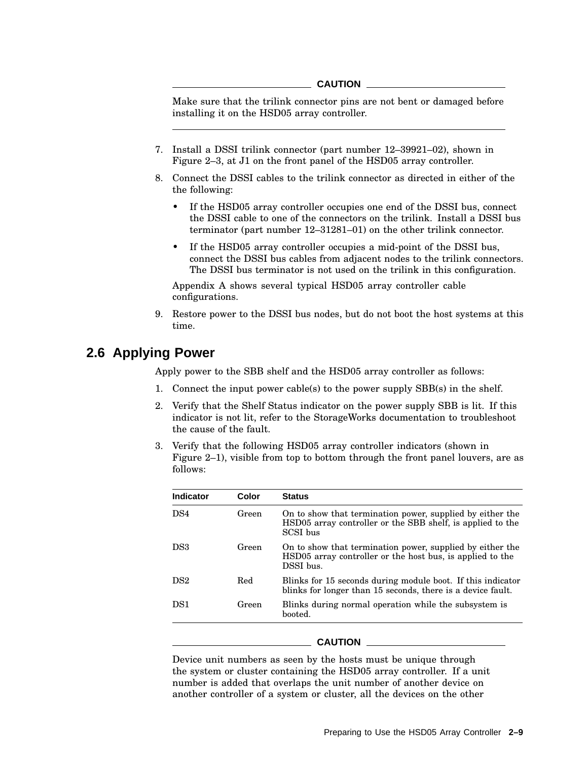#### **CAUTION**

Make sure that the trilink connector pins are not bent or damaged before installing it on the HSD05 array controller.

- 7. Install a DSSI trilink connector (part number 12–39921–02), shown in Figure 2–3, at J1 on the front panel of the HSD05 array controller.
- 8. Connect the DSSI cables to the trilink connector as directed in either of the the following:
	- If the HSD05 array controller occupies one end of the DSSI bus, connect the DSSI cable to one of the connectors on the trilink. Install a DSSI bus terminator (part number 12–31281–01) on the other trilink connector.
	- If the HSD05 array controller occupies a mid-point of the DSSI bus, connect the DSSI bus cables from adjacent nodes to the trilink connectors. The DSSI bus terminator is not used on the trilink in this configuration.

Appendix A shows several typical HSD05 array controller cable configurations.

9. Restore power to the DSSI bus nodes, but do not boot the host systems at this time.

## **2.6 Applying Power**

Apply power to the SBB shelf and the HSD05 array controller as follows:

- 1. Connect the input power cable(s) to the power supply SBB(s) in the shelf.
- 2. Verify that the Shelf Status indicator on the power supply SBB is lit. If this indicator is not lit, refer to the StorageWorks documentation to troubleshoot the cause of the fault.
- 3. Verify that the following HSD05 array controller indicators (shown in Figure 2–1), visible from top to bottom through the front panel louvers, are as follows:

| <b>Indicator</b> | Color | <b>Status</b>                                                                                                                       |
|------------------|-------|-------------------------------------------------------------------------------------------------------------------------------------|
| DS <sub>4</sub>  | Green | On to show that termination power, supplied by either the<br>HSD05 array controller or the SBB shelf, is applied to the<br>SCSI bus |
| DS3              | Green | On to show that termination power, supplied by either the<br>HSD05 array controller or the host bus, is applied to the<br>DSSI bus. |
| DS2              | Red   | Blinks for 15 seconds during module boot. If this indicator<br>blinks for longer than 15 seconds, there is a device fault.          |
| DS <sub>1</sub>  | Green | Blinks during normal operation while the subsystem is<br>booted.                                                                    |

#### **CAUTION**

Device unit numbers as seen by the hosts must be unique through the system or cluster containing the HSD05 array controller. If a unit number is added that overlaps the unit number of another device on another controller of a system or cluster, all the devices on the other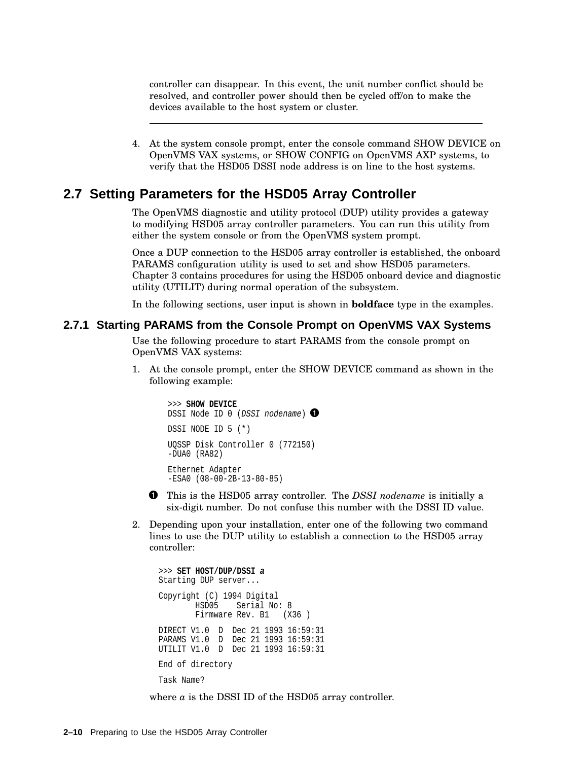controller can disappear. In this event, the unit number conflict should be resolved, and controller power should then be cycled off/on to make the devices available to the host system or cluster.

4. At the system console prompt, enter the console command SHOW DEVICE on OpenVMS VAX systems, or SHOW CONFIG on OpenVMS AXP systems, to verify that the HSD05 DSSI node address is on line to the host systems.

## **2.7 Setting Parameters for the HSD05 Array Controller**

The OpenVMS diagnostic and utility protocol (DUP) utility provides a gateway to modifying HSD05 array controller parameters. You can run this utility from either the system console or from the OpenVMS system prompt.

Once a DUP connection to the HSD05 array controller is established, the onboard PARAMS configuration utility is used to set and show HSD05 parameters. Chapter 3 contains procedures for using the HSD05 onboard device and diagnostic utility (UTILIT) during normal operation of the subsystem.

In the following sections, user input is shown in **boldface** type in the examples.

#### **2.7.1 Starting PARAMS from the Console Prompt on OpenVMS VAX Systems**

Use the following procedure to start PARAMS from the console prompt on OpenVMS VAX systems:

1. At the console prompt, enter the SHOW DEVICE command as shown in the following example:

```
>>> SHOW DEVICE
DSSI Node ID 0 (DSSI nodename) \bigcircDSSI NODE ID 5 (*)
UQSSP Disk Controller 0 (772150)
-DUA0 (RA82)
Ethernet Adapter
-ESA0 (08-00-2B-13-80-85)
```
- This is the HSD05 array controller. The *DSSI nodename* is initially a six-digit number. Do not confuse this number with the DSSI ID value.
- 2. Depending upon your installation, enter one of the following two command lines to use the DUP utility to establish a connection to the HSD05 array controller:

```
>>> SET HOST/DUP/DSSI a
Starting DUP server...
Copyright (C) 1994 Digital
       HSD05 Serial No: 8
       Firmware Rev. B1 (X36)
DIRECT V1.0 D Dec 21 1993 16:59:31
PARAMS V1.0 D Dec 21 1993 16:59:31
UTILIT V1.0 D Dec 21 1993 16:59:31
End of directory
Task Name?
```
where *a* is the DSSI ID of the HSD05 array controller.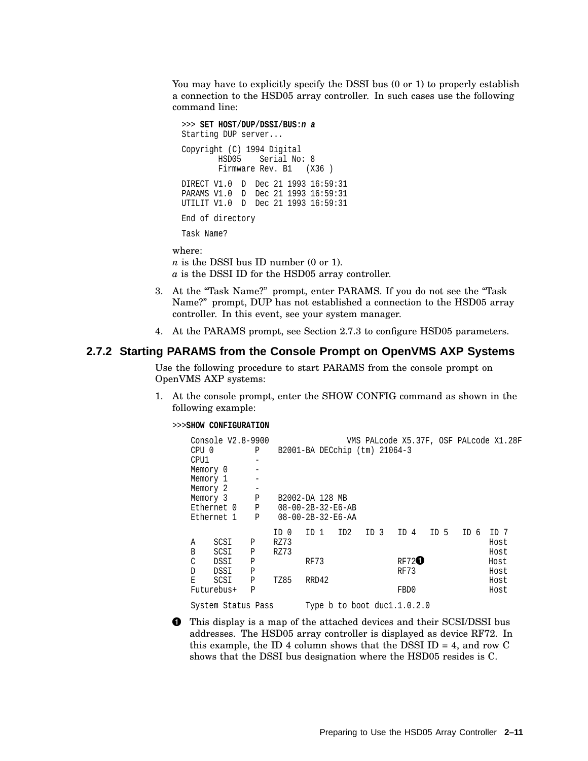You may have to explicitly specify the DSSI bus (0 or 1) to properly establish a connection to the HSD05 array controller. In such cases use the following command line:

```
>>> SET HOST/DUP/DSSI/BUS:n a
Starting DUP server...
Copyright (C) 1994 Digital
       HSD05 Serial No: 8
       Firmware Rev. B1 (X36)
DIRECT V1.0 D Dec 21 1993 16:59:31
PARAMS V1.0 D Dec 21 1993 16:59:31
UTILIT V1.0 D Dec 21 1993 16:59:31
End of directory
Task Name?
```
where: *n* is the DSSI bus ID number (0 or 1). *a* is the DSSI ID for the HSD05 array controller.

- 3. At the "Task Name?" prompt, enter PARAMS. If you do not see the "Task Name?" prompt, DUP has not established a connection to the HSD05 array controller. In this event, see your system manager.
- 4. At the PARAMS prompt, see Section 2.7.3 to configure HSD05 parameters.

### **2.7.2 Starting PARAMS from the Console Prompt on OpenVMS AXP Systems**

Use the following procedure to start PARAMS from the console prompt on OpenVMS AXP systems:

1. At the console prompt, enter the SHOW CONFIG command as shown in the following example:

```
>>>SHOW CONFIGURATION
```
Console V2.8-9900 VMS PALcode X5.37F, OSF PALcode X1.28F CPU 0 P B2001-BA DECchip (tm) 21064-3  $CPU1$ Memory 0 -Memory 1 -Memory 2 -<br>Memory 3 -Memory 3 P B2002-DA 128 MB Ethernet 0 P 08-00-2B-32-E6-AB<br>Ethernet 1 P 08-00-2B-32-E6-AA  $08 - 00 - 2B - 32 - E6 - AA$ ID 0 ID 1 ID2 ID 3 ID 4 ID 5 ID 6 ID 7 A SCSI P RZ73 Host B SCSI P RZ73 Host  $\text{C}$  DSSI P RF73 RF72 $\text{C}$  Hos Host D DSSI P RF73 Host E SCSI P TZ85 RRD42 Host Futurebus+ P FBD0 Host System Status Pass Type b to boot duc1.1.0.2.0

 $\bullet$  This display is a map of the attached devices and their SCSI/DSSI bus addresses. The HSD05 array controller is displayed as device RF72. In this example, the ID 4 column shows that the DSSI ID = 4, and row C shows that the DSSI bus designation where the HSD05 resides is C.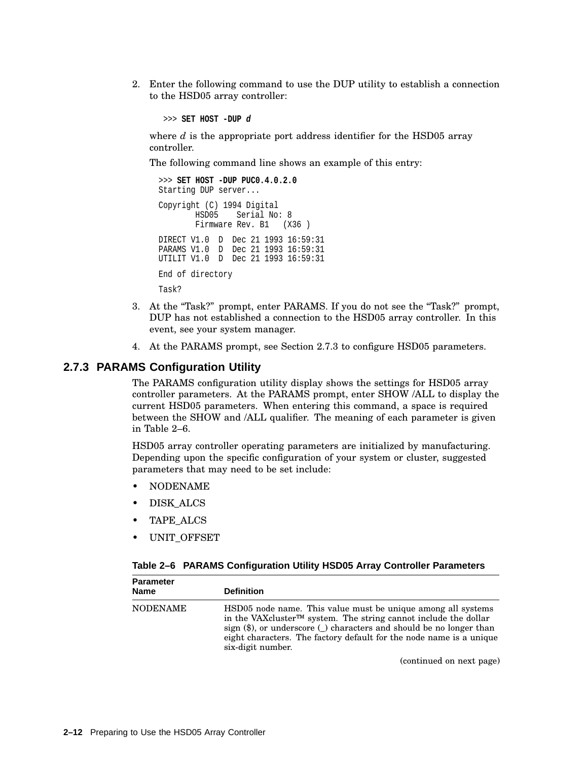2. Enter the following command to use the DUP utility to establish a connection to the HSD05 array controller:

>>> **SET HOST -DUP d**

where *d* is the appropriate port address identifier for the HSD05 array controller.

The following command line shows an example of this entry:

```
>>> SET HOST -DUP PUC0.4.0.2.0
Starting DUP server...
Copyright (C) 1994 Digital
       HSD05 Serial No: 8
       Firmware Rev. B1 (X36)
DIRECT V1.0 D Dec 21 1993 16:59:31
PARAMS V1.0 D Dec 21 1993 16:59:31
UTILIT V1.0 D Dec 21 1993 16:59:31
End of directory
Task?
```
- 3. At the ''Task?'' prompt, enter PARAMS. If you do not see the ''Task?'' prompt, DUP has not established a connection to the HSD05 array controller. In this event, see your system manager.
- 4. At the PARAMS prompt, see Section 2.7.3 to configure HSD05 parameters.

#### **2.7.3 PARAMS Configuration Utility**

The PARAMS configuration utility display shows the settings for HSD05 array controller parameters. At the PARAMS prompt, enter SHOW /ALL to display the current HSD05 parameters. When entering this command, a space is required between the SHOW and /ALL qualifier. The meaning of each parameter is given in Table 2–6.

HSD05 array controller operating parameters are initialized by manufacturing. Depending upon the specific configuration of your system or cluster, suggested parameters that may need to be set include:

- NODENAME
- DISK\_ALCS
- TAPE\_ALCS

**Parameter**

• UNIT\_OFFSET

#### **Table 2–6 PARAMS Configuration Utility HSD05 Array Controller Parameters**

| <u>rai allielei</u><br><b>Name</b> | <b>Definition</b>                                                                                                                                                                                                                                                                                                                     |
|------------------------------------|---------------------------------------------------------------------------------------------------------------------------------------------------------------------------------------------------------------------------------------------------------------------------------------------------------------------------------------|
| <b>NODENAME</b>                    | HSD05 node name. This value must be unique among all systems<br>in the VAX cluster <sup><math>TM</math></sup> system. The string cannot include the dollar<br>sign $(\$)$ , or underscore $\(\ )$ characters and should be no longer than<br>eight characters. The factory default for the node name is a unique<br>six-digit number. |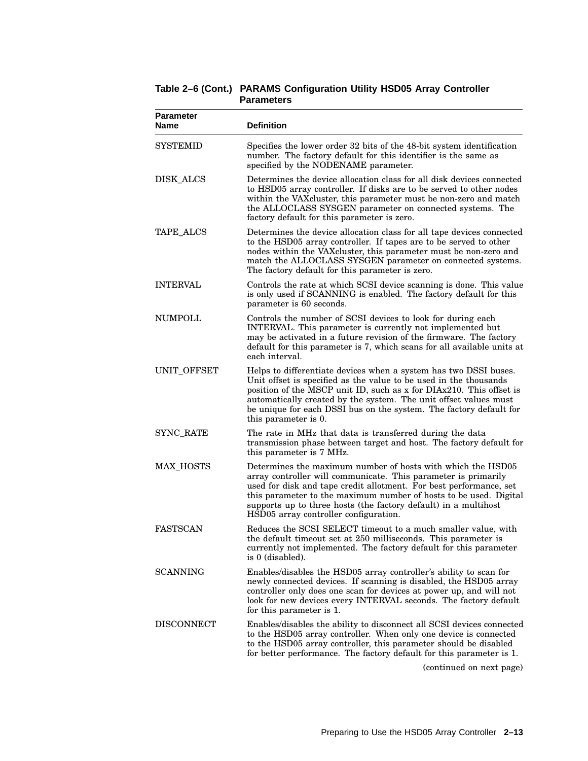| <b>Parameter</b><br>Name | <b>Definition</b>                                                                                                                                                                                                                                                                                                                                                                    |
|--------------------------|--------------------------------------------------------------------------------------------------------------------------------------------------------------------------------------------------------------------------------------------------------------------------------------------------------------------------------------------------------------------------------------|
| <b>SYSTEMID</b>          | Specifies the lower order 32 bits of the 48-bit system identification<br>number. The factory default for this identifier is the same as<br>specified by the NODENAME parameter.                                                                                                                                                                                                      |
| DISK_ALCS                | Determines the device allocation class for all disk devices connected<br>to HSD05 array controller. If disks are to be served to other nodes<br>within the VAX cluster, this parameter must be non-zero and match<br>the ALLOCLASS SYSGEN parameter on connected systems. The<br>factory default for this parameter is zero.                                                         |
| <b>TAPE_ALCS</b>         | Determines the device allocation class for all tape devices connected<br>to the HSD05 array controller. If tapes are to be served to other<br>nodes within the VAXcluster, this parameter must be non-zero and<br>match the ALLOCLASS SYSGEN parameter on connected systems.<br>The factory default for this parameter is zero.                                                      |
| <b>INTERVAL</b>          | Controls the rate at which SCSI device scanning is done. This value<br>is only used if SCANNING is enabled. The factory default for this<br>parameter is 60 seconds.                                                                                                                                                                                                                 |
| <b>NUMPOLL</b>           | Controls the number of SCSI devices to look for during each<br>INTERVAL. This parameter is currently not implemented but<br>may be activated in a future revision of the firmware. The factory<br>default for this parameter is 7, which scans for all available units at<br>each interval.                                                                                          |
| UNIT_OFFSET              | Helps to differentiate devices when a system has two DSSI buses.<br>Unit offset is specified as the value to be used in the thousands<br>position of the MSCP unit ID, such as x for DIAx210. This offset is<br>automatically created by the system. The unit offset values must<br>be unique for each DSSI bus on the system. The factory default for<br>this parameter is 0.       |
| SYNC_RATE                | The rate in MHz that data is transferred during the data<br>transmission phase between target and host. The factory default for<br>this parameter is 7 MHz.                                                                                                                                                                                                                          |
| <b>MAX HOSTS</b>         | Determines the maximum number of hosts with which the HSD05<br>array controller will communicate. This parameter is primarily<br>used for disk and tape credit allotment. For best performance, set<br>this parameter to the maximum number of hosts to be used. Digital<br>supports up to three hosts (the factory default) in a multihost<br>HSD05 array controller configuration. |
| <b>FASTSCAN</b>          | Reduces the SCSI SELECT timeout to a much smaller value, with<br>the default timeout set at 250 milliseconds. This parameter is<br>currently not implemented. The factory default for this parameter<br>is 0 (disabled).                                                                                                                                                             |
| <b>SCANNING</b>          | Enables/disables the HSD05 array controller's ability to scan for<br>newly connected devices. If scanning is disabled, the HSD05 array<br>controller only does one scan for devices at power up, and will not<br>look for new devices every INTERVAL seconds. The factory default<br>for this parameter is 1.                                                                        |
| <b>DISCONNECT</b>        | Enables/disables the ability to disconnect all SCSI devices connected<br>to the HSD05 array controller. When only one device is connected<br>to the HSD05 array controller, this parameter should be disabled<br>for better performance. The factory default for this parameter is 1.                                                                                                |

**Table 2–6 (Cont.) PARAMS Configuration Utility HSD05 Array Controller Parameters**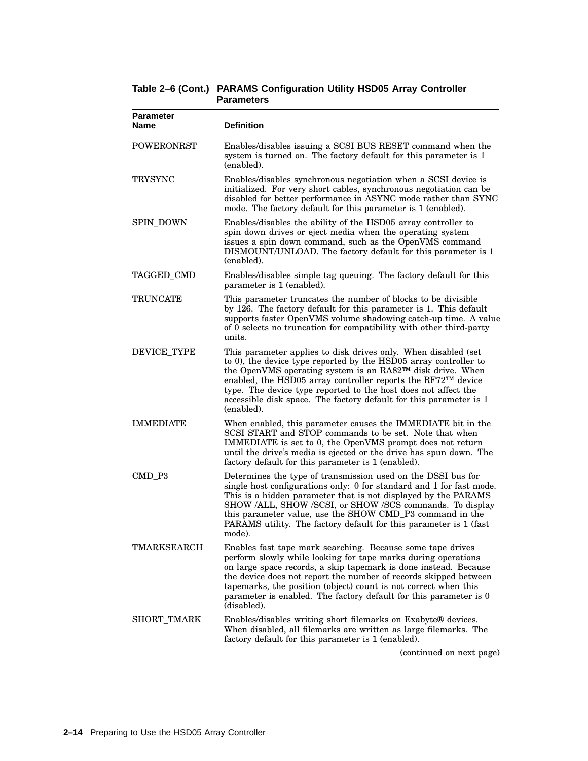| <b>Parameter</b><br><b>Name</b> | <b>Definition</b>                                                                                                                                                                                                                                                                                                                                                                                                          |
|---------------------------------|----------------------------------------------------------------------------------------------------------------------------------------------------------------------------------------------------------------------------------------------------------------------------------------------------------------------------------------------------------------------------------------------------------------------------|
| <b>POWERONRST</b>               | Enables/disables issuing a SCSI BUS RESET command when the<br>system is turned on. The factory default for this parameter is 1<br>(enabled).                                                                                                                                                                                                                                                                               |
| <b>TRYSYNC</b>                  | Enables/disables synchronous negotiation when a SCSI device is<br>initialized. For very short cables, synchronous negotiation can be<br>disabled for better performance in ASYNC mode rather than SYNC<br>mode. The factory default for this parameter is 1 (enabled).                                                                                                                                                     |
| <b>SPIN_DOWN</b>                | Enables/disables the ability of the HSD05 array controller to<br>spin down drives or eject media when the operating system<br>issues a spin down command, such as the OpenVMS command<br>DISMOUNT/UNLOAD. The factory default for this parameter is 1<br>(enabled).                                                                                                                                                        |
| TAGGED_CMD                      | Enables/disables simple tag queuing. The factory default for this<br>parameter is 1 (enabled).                                                                                                                                                                                                                                                                                                                             |
| <b>TRUNCATE</b>                 | This parameter truncates the number of blocks to be divisible<br>by 126. The factory default for this parameter is 1. This default<br>supports faster OpenVMS volume shadowing catch-up time. A value<br>of 0 selects no truncation for compatibility with other third-party<br>units.                                                                                                                                     |
| <b>DEVICE_TYPE</b>              | This parameter applies to disk drives only. When disabled (set<br>to 0), the device type reported by the HSD05 array controller to<br>the OpenVMS operating system is an RA82™ disk drive. When<br>enabled, the HSD05 array controller reports the RF72™ device<br>type. The device type reported to the host does not affect the<br>accessible disk space. The factory default for this parameter is 1<br>(enabled).      |
| <b>IMMEDIATE</b>                | When enabled, this parameter causes the IMMEDIATE bit in the<br>SCSI START and STOP commands to be set. Note that when<br>IMMEDIATE is set to 0, the OpenVMS prompt does not return<br>until the drive's media is ejected or the drive has spun down. The<br>factory default for this parameter is 1 (enabled).                                                                                                            |
| CMD_P3                          | Determines the type of transmission used on the DSSI bus for<br>single host configurations only: 0 for standard and 1 for fast mode.<br>This is a hidden parameter that is not displayed by the PARAMS<br>SHOW /ALL, SHOW /SCSI, or SHOW /SCS commands. To display<br>this parameter value, use the SHOW CMD_P3 command in the<br>PARAMS utility. The factory default for this parameter is 1 (fast<br>mode).              |
| TMARKSEARCH                     | Enables fast tape mark searching. Because some tape drives<br>perform slowly while looking for tape marks during operations<br>on large space records, a skip tapemark is done instead. Because<br>the device does not report the number of records skipped between<br>tapemarks, the position (object) count is not correct when this<br>parameter is enabled. The factory default for this parameter is 0<br>(disabled). |
| SHORT_TMARK                     | Enables/disables writing short filemarks on Exabyte® devices.<br>When disabled, all filemarks are written as large filemarks. The<br>factory default for this parameter is 1 (enabled).                                                                                                                                                                                                                                    |

**Table 2–6 (Cont.) PARAMS Configuration Utility HSD05 Array Controller Parameters**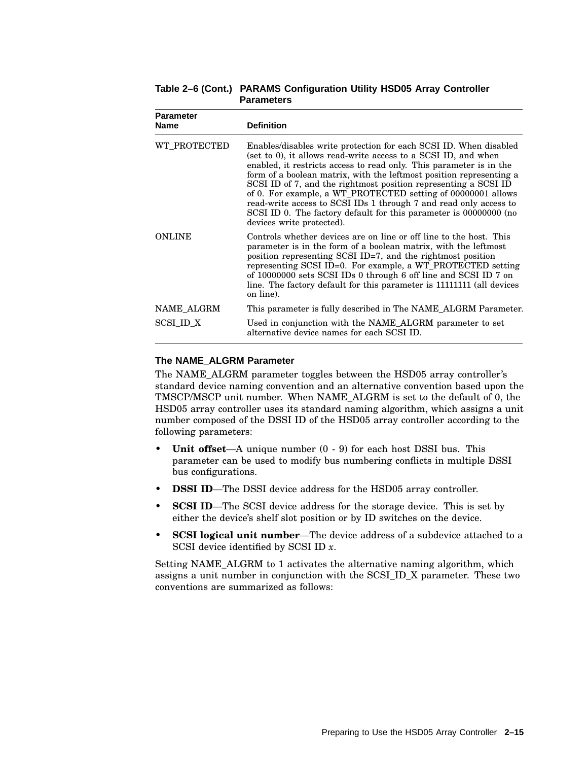| <b>Parameter</b><br><b>Name</b> | <b>Definition</b>                                                                                                                                                                                                                                                                                                                                                                                                                                                                                                                                                                           |  |  |  |
|---------------------------------|---------------------------------------------------------------------------------------------------------------------------------------------------------------------------------------------------------------------------------------------------------------------------------------------------------------------------------------------------------------------------------------------------------------------------------------------------------------------------------------------------------------------------------------------------------------------------------------------|--|--|--|
| WT PROTECTED                    | Enables/disables write protection for each SCSI ID. When disabled<br>(set to 0), it allows read-write access to a SCSI ID, and when<br>enabled, it restricts access to read only. This parameter is in the<br>form of a boolean matrix, with the leftmost position representing a<br>SCSI ID of 7, and the rightmost position representing a SCSI ID<br>of 0. For example, a WT_PROTECTED setting of 00000001 allows<br>read-write access to SCSI IDs 1 through 7 and read only access to<br>SCSI ID 0. The factory default for this parameter is 00000000 (no<br>devices write protected). |  |  |  |
| <b>ONLINE</b>                   | Controls whether devices are on line or off line to the host. This<br>parameter is in the form of a boolean matrix, with the leftmost<br>position representing SCSI ID=7, and the rightmost position<br>representing SCSI ID=0. For example, a WT_PROTECTED setting<br>of 10000000 sets SCSI IDs 0 through 6 off line and SCSI ID 7 on<br>line. The factory default for this parameter is 111111111 (all devices<br>on line).                                                                                                                                                               |  |  |  |
| NAME ALGRM                      | This parameter is fully described in The NAME ALGRM Parameter.                                                                                                                                                                                                                                                                                                                                                                                                                                                                                                                              |  |  |  |
| SCSI ID X                       | Used in conjunction with the NAME_ALGRM parameter to set<br>alternative device names for each SCSI ID.                                                                                                                                                                                                                                                                                                                                                                                                                                                                                      |  |  |  |

**Table 2–6 (Cont.) PARAMS Configuration Utility HSD05 Array Controller Parameters**

#### **The NAME\_ALGRM Parameter**

The NAME\_ALGRM parameter toggles between the HSD05 array controller's standard device naming convention and an alternative convention based upon the TMSCP/MSCP unit number. When NAME\_ALGRM is set to the default of 0, the HSD05 array controller uses its standard naming algorithm, which assigns a unit number composed of the DSSI ID of the HSD05 array controller according to the following parameters:

- **Unit offset**—A unique number (0 9) for each host DSSI bus. This parameter can be used to modify bus numbering conflicts in multiple DSSI bus configurations.
- **DSSI ID**—The DSSI device address for the HSD05 array controller.
- **SCSI ID**—The SCSI device address for the storage device. This is set by either the device's shelf slot position or by ID switches on the device.
- **SCSI logical unit number**—The device address of a subdevice attached to a SCSI device identified by SCSI ID *x*.

Setting NAME\_ALGRM to 1 activates the alternative naming algorithm, which assigns a unit number in conjunction with the SCSI\_ID\_X parameter. These two conventions are summarized as follows: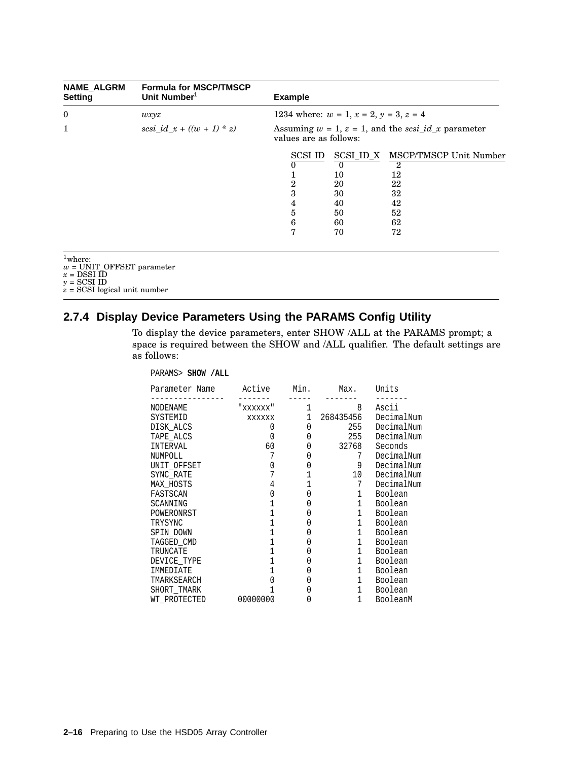| <b>NAME ALGRM</b><br>Setting                                                                                                        | <b>Formula for MSCP/TMSCP</b><br>Unit Number <sup>1</sup> | <b>Example</b>                                                                     |                                                          |                                                                                              |  |
|-------------------------------------------------------------------------------------------------------------------------------------|-----------------------------------------------------------|------------------------------------------------------------------------------------|----------------------------------------------------------|----------------------------------------------------------------------------------------------|--|
| $\boldsymbol{0}$                                                                                                                    | wxyz                                                      | 1234 where: $w = 1$ , $x = 2$ , $y = 3$ , $z = 4$                                  |                                                          |                                                                                              |  |
| 1                                                                                                                                   | $scsi_id_x + ((w + 1) * z)$                               | Assuming $w = 1$ , $z = 1$ , and the scsi_id_x parameter<br>values are as follows: |                                                          |                                                                                              |  |
|                                                                                                                                     |                                                           | SCSI ID<br>0<br>$\overline{2}$<br>3<br>4<br>5<br>6<br>7                            | $\overline{0}$<br>10<br>20<br>30<br>40<br>50<br>60<br>70 | SCSI_ID_X MSCP/TMSCP Unit Number<br>$\overline{2}$<br>12<br>22<br>32<br>42<br>52<br>62<br>72 |  |
| $1$ where:<br>$w = \text{UNIT\_OFFSET parameter}$<br>$x =$ DSSI ID<br>$v = \text{SCSI ID}$<br>$z = \text{SCSI}$ logical unit number |                                                           |                                                                                    |                                                          |                                                                                              |  |

## **2.7.4 Display Device Parameters Using the PARAMS Config Utility**

To display the device parameters, enter SHOW /ALL at the PARAMS prompt; a space is required between the SHOW and /ALL qualifier. The default settings are as follows:

#### PARAMS> **SHOW /ALL**

| Parameter Name | Active    | Min. | Max.           | Units      |
|----------------|-----------|------|----------------|------------|
| NODENAME       | " XXXXXX" | 1    | 8              | Ascii      |
| SYSTEMID       | XXXXXX    | 1    | 268435456      | DecimalNum |
| DISK ALCS      | 0         | 0    | 255            | DecimalNum |
| TAPE ALCS      | 0         | 0    | 255            | DecimalNum |
| INTERVAL       | 60        | 0    | 32768          | Seconds    |
| NUMPOLL        | 7         |      | 7              | DecimalNum |
| UNIT OFFSET    |           |      | 9              | DecimalNum |
| SYNC RATE      |           |      | 10             | DecimalNum |
| MAX HOSTS      |           |      | 7              | DecimalNum |
| FASTSCAN       |           |      | 1              | Boolean    |
| SCANNING       |           |      | $\mathbf 1$    | Boolean    |
| POWERONRST     |           |      | $\mathbf{1}$   | Boolean    |
| TRYSYNC        |           |      | 1              | Boolean    |
| SPIN DOWN      |           |      | $\mathbf{1}$   | Boolean    |
| TAGGED CMD     |           |      | 1              | Boolean    |
| TRUNCATE       |           |      | $\mathbf{1}$   | Boolean    |
| DEVICE TYPE    |           |      | $\mathbf{1}$   | Boolean    |
| IMMEDIATE      |           |      | 1              | Boolean    |
| TMARKSEARCH    |           |      | $\mathbf{1}$   | Boolean    |
| SHORT TMARK    |           |      | $\mathbf{1}$   | Boolean    |
| WT PROTECTED   | 00000000  |      | $\overline{1}$ | BooleanM   |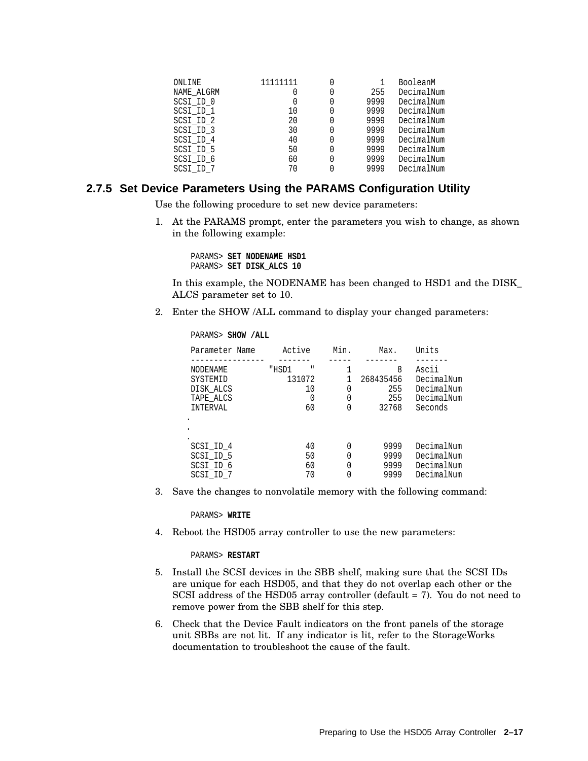| ONLINE     | 11111111 |      | BooleanM   |
|------------|----------|------|------------|
| NAME ALGRM |          | 255  | DecimalNum |
| SCSI ID 0  |          | 9999 | DecimalNum |
| SCSI ID 1  | 10       | 9999 | DecimalNum |
| SCSI ID 2  | 20       | 9999 | DecimalNum |
| SCSI ID 3  | 30       | 9999 | DecimalNum |
| SCSI ID 4  | 40       | 9999 | DecimalNum |
| SCSI ID 5  | 50       | 9999 | DecimalNum |
| SCSI ID 6  | 60       | 9999 | DecimalNum |
| SCSI ID 7  | 70       | 9999 | DecimalNum |
|            |          |      |            |

#### **2.7.5 Set Device Parameters Using the PARAMS Configuration Utility**

Use the following procedure to set new device parameters:

1. At the PARAMS prompt, enter the parameters you wish to change, as shown in the following example:

PARAMS> **SET NODENAME HSD1** PARAMS> **SET DISK\_ALCS 10**

In this example, the NODENAME has been changed to HSD1 and the DISK\_ ALCS parameter set to 10.

2. Enter the SHOW /ALL command to display your changed parameters:

PARAMS> **SHOW /ALL**

| Parameter Name | Active | Min. | Max.      | Units      |
|----------------|--------|------|-----------|------------|
| NODENAME       | "HSD1  | 0    | 8         | Ascii      |
| SYSTEMID       | Ш      |      | 268435456 | DecimalNum |
| DISK ALCS      | 131072 |      | 255       | DecimalNum |
| TAPE ALCS      | 10     |      | 255       | DecimalNum |
| INTERVAL       | 60     |      | 32768     | Seconds    |
| SCSI ID 4      | 40     |      | 9999      | DecimalNum |
| SCSI ID 5      | 50     |      | 9999      | DecimalNum |
| SCSI ID 6      | 60     |      | 9999      | DecimalNum |
| SCSI ID 7      | 70     |      | 9999      | DecimalNum |

3. Save the changes to nonvolatile memory with the following command:

PARAMS> **WRITE**

4. Reboot the HSD05 array controller to use the new parameters:

PARAMS> **RESTART**

- 5. Install the SCSI devices in the SBB shelf, making sure that the SCSI IDs are unique for each HSD05, and that they do not overlap each other or the SCSI address of the HSD05 array controller (default = 7). You do not need to remove power from the SBB shelf for this step.
- 6. Check that the Device Fault indicators on the front panels of the storage unit SBBs are not lit. If any indicator is lit, refer to the StorageWorks documentation to troubleshoot the cause of the fault.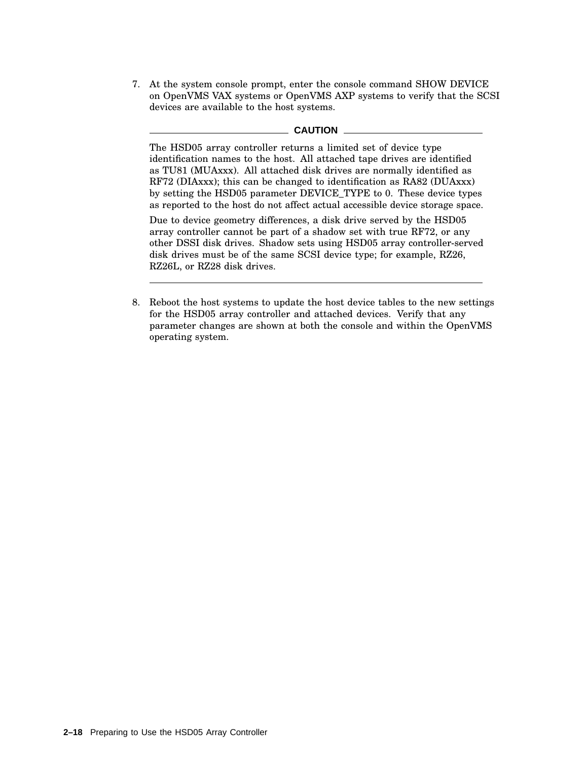7. At the system console prompt, enter the console command SHOW DEVICE on OpenVMS VAX systems or OpenVMS AXP systems to verify that the SCSI devices are available to the host systems.

#### **CAUTION**

The HSD05 array controller returns a limited set of device type identification names to the host. All attached tape drives are identified as TU81 (MUAxxx). All attached disk drives are normally identified as RF72 (DIAxxx); this can be changed to identification as RA82 (DUAxxx) by setting the HSD05 parameter DEVICE\_TYPE to 0. These device types as reported to the host do not affect actual accessible device storage space.

Due to device geometry differences, a disk drive served by the HSD05 array controller cannot be part of a shadow set with true RF72, or any other DSSI disk drives. Shadow sets using HSD05 array controller-served disk drives must be of the same SCSI device type; for example, RZ26, RZ26L, or RZ28 disk drives.

8. Reboot the host systems to update the host device tables to the new settings for the HSD05 array controller and attached devices. Verify that any parameter changes are shown at both the console and within the OpenVMS operating system.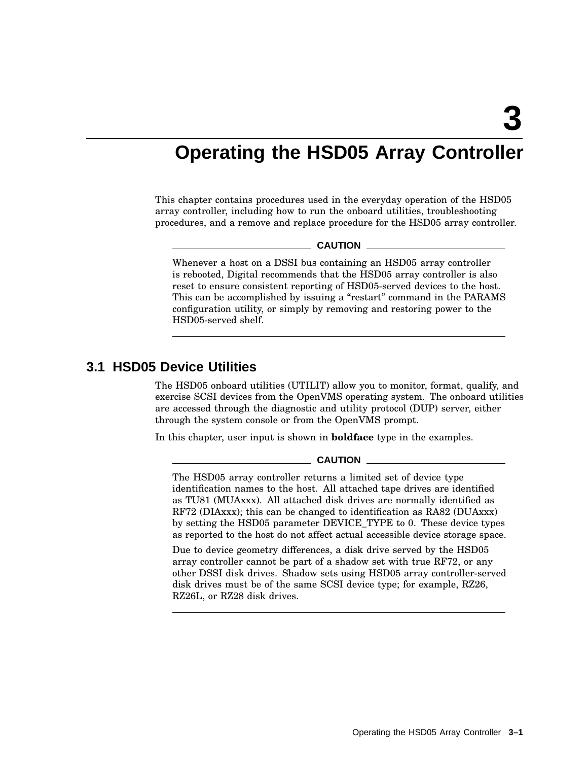## **Operating the HSD05 Array Controller**

This chapter contains procedures used in the everyday operation of the HSD05 array controller, including how to run the onboard utilities, troubleshooting procedures, and a remove and replace procedure for the HSD05 array controller.

#### **CAUTION**

Whenever a host on a DSSI bus containing an HSD05 array controller is rebooted, Digital recommends that the HSD05 array controller is also reset to ensure consistent reporting of HSD05-served devices to the host. This can be accomplished by issuing a "restart" command in the PARAMS configuration utility, or simply by removing and restoring power to the HSD05-served shelf.

### **3.1 HSD05 Device Utilities**

The HSD05 onboard utilities (UTILIT) allow you to monitor, format, qualify, and exercise SCSI devices from the OpenVMS operating system. The onboard utilities are accessed through the diagnostic and utility protocol (DUP) server, either through the system console or from the OpenVMS prompt.

In this chapter, user input is shown in **boldface** type in the examples.

**CAUTION**

The HSD05 array controller returns a limited set of device type identification names to the host. All attached tape drives are identified as TU81 (MUAxxx). All attached disk drives are normally identified as RF72 (DIAxxx); this can be changed to identification as RA82 (DUAxxx) by setting the HSD05 parameter DEVICE\_TYPE to 0. These device types as reported to the host do not affect actual accessible device storage space.

Due to device geometry differences, a disk drive served by the HSD05 array controller cannot be part of a shadow set with true RF72, or any other DSSI disk drives. Shadow sets using HSD05 array controller-served disk drives must be of the same SCSI device type; for example, RZ26, RZ26L, or RZ28 disk drives.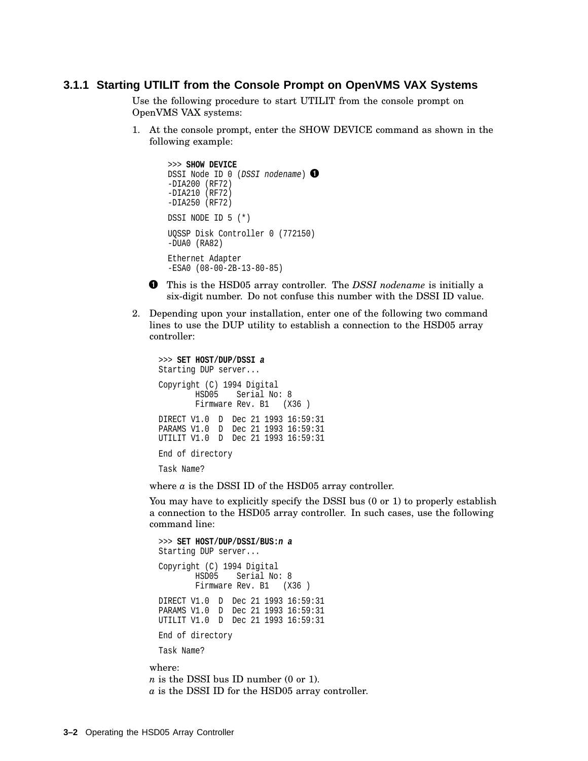#### **3.1.1 Starting UTILIT from the Console Prompt on OpenVMS VAX Systems**

Use the following procedure to start UTILIT from the console prompt on OpenVMS VAX systems:

1. At the console prompt, enter the SHOW DEVICE command as shown in the following example:

```
>>> SHOW DEVICE
DSSI Node ID 0 (DSSI nodename) \bullet-DIA200 (RF72)
-DIA210 (RF72)
-DIA250 (RF72)
DSSI NODE ID 5 (*)
UQSSP Disk Controller 0 (772150)
-DUA0 (RA82)
Ethernet Adapter
-ESA0 (08-00-2B-13-80-85)
```
- This is the HSD05 array controller. The *DSSI nodename* is initially a six-digit number. Do not confuse this number with the DSSI ID value.
- 2. Depending upon your installation, enter one of the following two command lines to use the DUP utility to establish a connection to the HSD05 array controller:

```
>>> SET HOST/DUP/DSSI a
Starting DUP server...
Copyright (C) 1994 Digital
       HSD05 Serial No: 8
       Firmware Rev. B1 (X36)
DIRECT V1.0 D Dec 21 1993 16:59:31
PARAMS V1.0 D Dec 21 1993 16:59:31
UTILIT V1.0 D Dec 21 1993 16:59:31
End of directory
Task Name?
```
where  $a$  is the DSSI ID of the HSD05 array controller.

You may have to explicitly specify the DSSI bus (0 or 1) to properly establish a connection to the HSD05 array controller. In such cases, use the following command line:

```
>>> SET HOST/DUP/DSSI/BUS:n a
 Starting DUP server...
 Copyright (C) 1994 Digital
         HSD05 Serial No: 8
         Firmware Rev. B1 (X36)
 DIRECT V1.0 D Dec 21 1993 16:59:31
 PARAMS V1.0 D Dec 21 1993 16:59:31
 UTILIT V1.0 D Dec 21 1993 16:59:31
 End of directory
 Task Name?
where:
```
*n* is the DSSI bus ID number (0 or 1). *a* is the DSSI ID for the HSD05 array controller.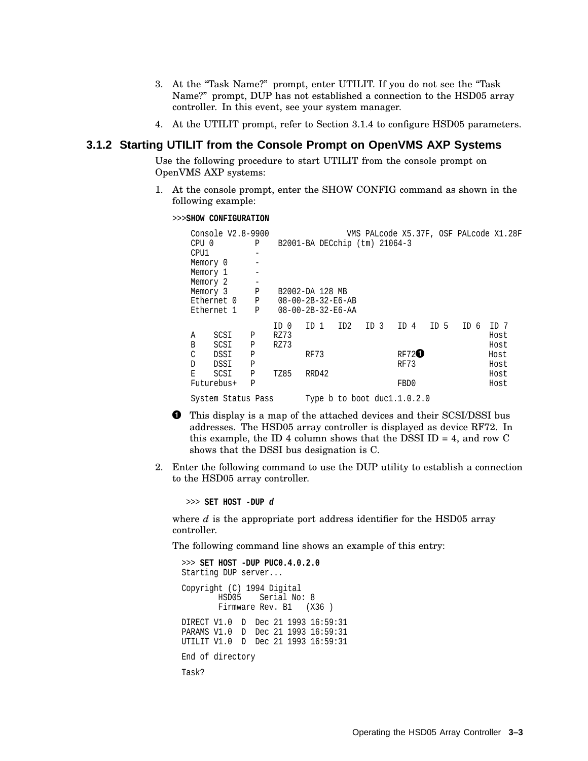- 3. At the "Task Name?" prompt, enter UTILIT. If you do not see the "Task Name?'' prompt, DUP has not established a connection to the HSD05 array controller. In this event, see your system manager.
- 4. At the UTILIT prompt, refer to Section 3.1.4 to configure HSD05 parameters.

#### **3.1.2 Starting UTILIT from the Console Prompt on OpenVMS AXP Systems**

Use the following procedure to start UTILIT from the console prompt on OpenVMS AXP systems:

1. At the console prompt, enter the SHOW CONFIG command as shown in the following example:

>>>**SHOW CONFIGURATION**

|                  | Console V2.8-9900  |   |      |                               |                 |      |              |      |      | VMS PALcode X5.37F, OSF PALcode X1.28F |
|------------------|--------------------|---|------|-------------------------------|-----------------|------|--------------|------|------|----------------------------------------|
| CPU <sub>0</sub> |                    | Ρ |      | B2001-BA DECchip (tm) 21064-3 |                 |      |              |      |      |                                        |
| CPU1             |                    |   |      |                               |                 |      |              |      |      |                                        |
| Memory 0         |                    |   |      |                               |                 |      |              |      |      |                                        |
| Memory 1         |                    |   |      |                               |                 |      |              |      |      |                                        |
| Memory 2         |                    |   |      |                               |                 |      |              |      |      |                                        |
| Memory 3         |                    | Ρ |      | B2002-DA 128 MB               |                 |      |              |      |      |                                        |
|                  | Ethernet 0         | P |      | $08 - 00 - 2B - 32 - E6 - AB$ |                 |      |              |      |      |                                        |
|                  | Ethernet 1         | Ρ |      | $08 - 00 - 2B - 32 - E6 - AA$ |                 |      |              |      |      |                                        |
|                  |                    |   | ID 0 | TD 1                          | ID <sub>2</sub> | ID 3 | ID 4         | ID 5 | ID 6 | ID 7                                   |
| А                | SCSI               | Ρ | RZ73 |                               |                 |      |              |      |      | Host                                   |
| B                | SCSI               | Ρ | RZ73 |                               |                 |      |              |      |      | Host                                   |
| C                | DSSI               | Ρ |      | RF73                          |                 |      | <b>RF720</b> |      |      | Host                                   |
| D                | DSSI               | Ρ |      |                               |                 |      | RF73         |      |      | Host                                   |
| E.               | SCSI               | Р | TZ85 | RRD42                         |                 |      |              |      |      | Host                                   |
|                  | Futurebus+         | Р |      |                               |                 |      | FBD0         |      |      | Host                                   |
|                  | System Status Pass |   |      | Type $b$ to boot ducl.1.0.2.0 |                 |      |              |      |      |                                        |

- $\bullet$  This display is a map of the attached devices and their SCSI/DSSI bus addresses. The HSD05 array controller is displayed as device RF72. In this example, the ID 4 column shows that the DSSI ID = 4, and row  $C$ shows that the DSSI bus designation is C.
- 2. Enter the following command to use the DUP utility to establish a connection to the HSD05 array controller.

>>> **SET HOST -DUP d**

where *d* is the appropriate port address identifier for the HSD05 array controller.

The following command line shows an example of this entry:

```
>>> SET HOST -DUP PUC0.4.0.2.0
Starting DUP server...
Copyright (C) 1994 Digital
       HSD05 Serial No: 8
       Firmware Rev. B1 (X36)
DIRECT V1.0 D Dec 21 1993 16:59:31
PARAMS V1.0 D Dec 21 1993 16:59:31
UTILIT V1.0 D Dec 21 1993 16:59:31
End of directory
Task?
```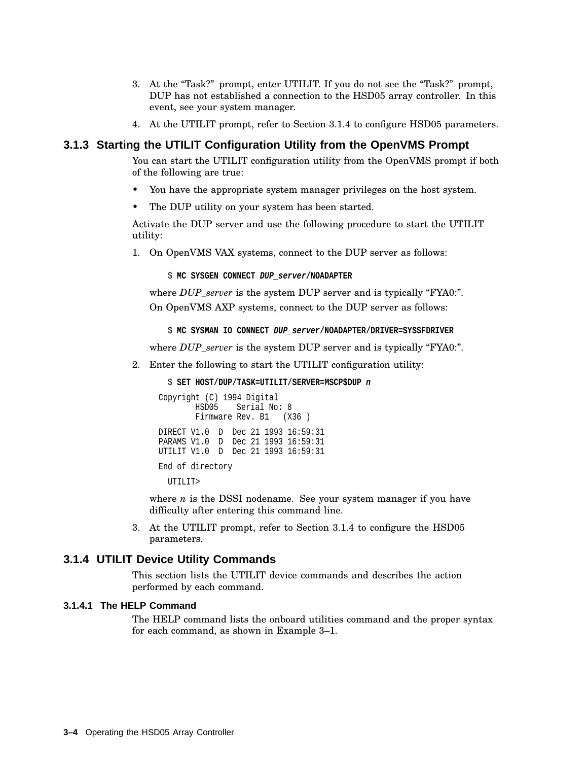- 3. At the "Task?" prompt, enter UTILIT. If you do not see the "Task?" prompt, DUP has not established a connection to the HSD05 array controller. In this event, see your system manager.
- 4. At the UTILIT prompt, refer to Section 3.1.4 to configure HSD05 parameters.

#### **3.1.3 Starting the UTILIT Configuration Utility from the OpenVMS Prompt**

You can start the UTILIT configuration utility from the OpenVMS prompt if both of the following are true:

- You have the appropriate system manager privileges on the host system.
- The DUP utility on your system has been started.

Activate the DUP server and use the following procedure to start the UTILIT utility:

1. On OpenVMS VAX systems, connect to the DUP server as follows:

\$ **MC SYSGEN CONNECT DUP\_server/NOADAPTER**

where *DUP* server is the system DUP server and is typically "FYA0:". On OpenVMS AXP systems, connect to the DUP server as follows:

\$ **MC SYSMAN IO CONNECT DUP\_server/NOADAPTER/DRIVER=SYS\$FDRIVER**

where *DUP\_server* is the system DUP server and is typically "FYA0:".

2. Enter the following to start the UTILIT configuration utility:

\$ **SET HOST/DUP/TASK=UTILIT/SERVER=MSCP\$DUP n**

```
Copyright (C) 1994 Digital
       HSD05 Serial No: 8
       Firmware Rev. B1 (X36)
DIRECT V1.0 D Dec 21 1993 16:59:31
PARAMS V1.0 D Dec 21 1993 16:59:31
UTILIT V1.0 D Dec 21 1993 16:59:31
End of directory
```
UTILIT>

where *n* is the DSSI nodename. See your system manager if you have difficulty after entering this command line.

3. At the UTILIT prompt, refer to Section 3.1.4 to configure the HSD05 parameters.

#### **3.1.4 UTILIT Device Utility Commands**

This section lists the UTILIT device commands and describes the action performed by each command.

#### **3.1.4.1 The HELP Command**

The HELP command lists the onboard utilities command and the proper syntax for each command, as shown in Example 3–1.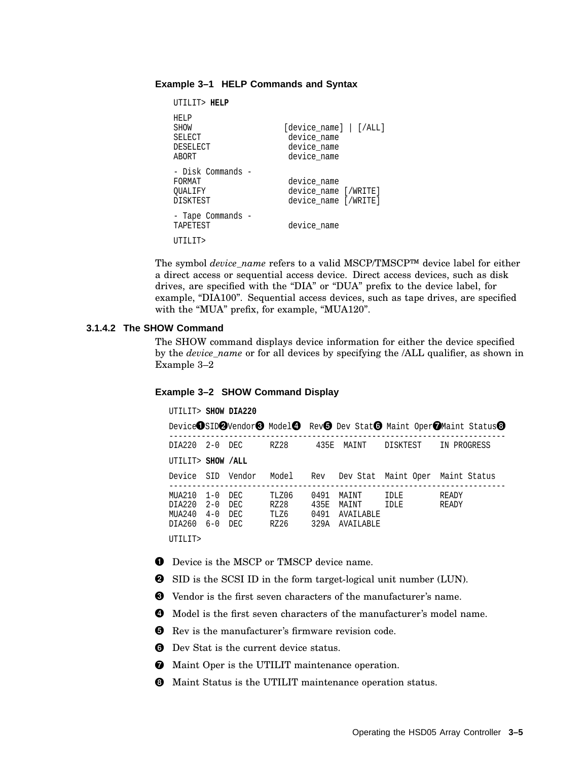#### **Example 3–1 HELP Commands and Syntax**

```
UTILIT> HELP
HELP<br>SHOW
                        [device_name] | [/ALL]
SELECT device_name<br>DESELECT device name
                         device name
ABORT device name
- Disk Commands -
FORMAT device_name<br>
OUALIFY device name
QUALIFY device_name [/WRITE]<br>DISKTEST device name [/WRITE]
                         device name [/WRITE]
- Tape Commands -
TAPETEST device name
UTILIT>
```
The symbol *device\_name* refers to a valid MSCP/TMSCP™ device label for either a direct access or sequential access device. Direct access devices, such as disk drives, are specified with the "DIA" or "DUA" prefix to the device label, for example, "DIA100". Sequential access devices, such as tape drives, are specified with the "MUA" prefix, for example, "MUA120".

#### **3.1.4.2 The SHOW Command**

The SHOW command displays device information for either the device specified by the *device\_name* or for all devices by specifying the /ALL qualifier, as shown in Example 3–2

#### **Example 3–2 SHOW Command Display**

UTILIT> **SHOW DIA220**

|                                                          |                    |                   |                               |                              |                                                 |              | Device OSID OVendor <sup>6</sup> Model <sup>6</sup> Rev <sup>6</sup> Dev Stat <sup>6</sup> Maint Oper OMaint Status <sup>6</sup> |
|----------------------------------------------------------|--------------------|-------------------|-------------------------------|------------------------------|-------------------------------------------------|--------------|----------------------------------------------------------------------------------------------------------------------------------|
| DIA220 2-0 DEC                                           |                    |                   | RZ28                          |                              | 435E MAINT                                      | DISKTEST     | IN PROGRESS                                                                                                                      |
| UTILIT> SHOW /ALL                                        |                    |                   |                               |                              |                                                 |              |                                                                                                                                  |
|                                                          |                    | Device SID Vendor |                               |                              |                                                 |              | Model Rev Dev Stat Maint-Oper Maint-Status                                                                                       |
| MUA210 1-0 DEC<br>DTA220<br>MTTA 2.4 0<br>DIA260 6-0 DEC | $2 - 0$<br>$4 - 0$ | DEC<br>DEC.       | TLZ06<br>RZ28<br>TLZ6<br>RZ26 | 0491<br>435E<br>0491<br>329A | MAINT<br>MAINT<br><b>AVATLABLE</b><br>AVAILABLE | IDLE<br>IDLE | READY<br>READY                                                                                                                   |
| UTILIT>                                                  |                    |                   |                               |                              |                                                 |              |                                                                                                                                  |

- **O** Device is the MSCP or TMSCP device name.
- SID is the SCSI ID in the form target-logical unit number (LUN).
- Vendor is the first seven characters of the manufacturer's name.
- Model is the first seven characters of the manufacturer's model name.
- $\Theta$  Rev is the manufacturer's firmware revision code.
- **O** Dev Stat is the current device status.
- $\bullet$  Maint Oper is the UTILIT maintenance operation.
- $\Theta$  Maint Status is the UTILIT maintenance operation status.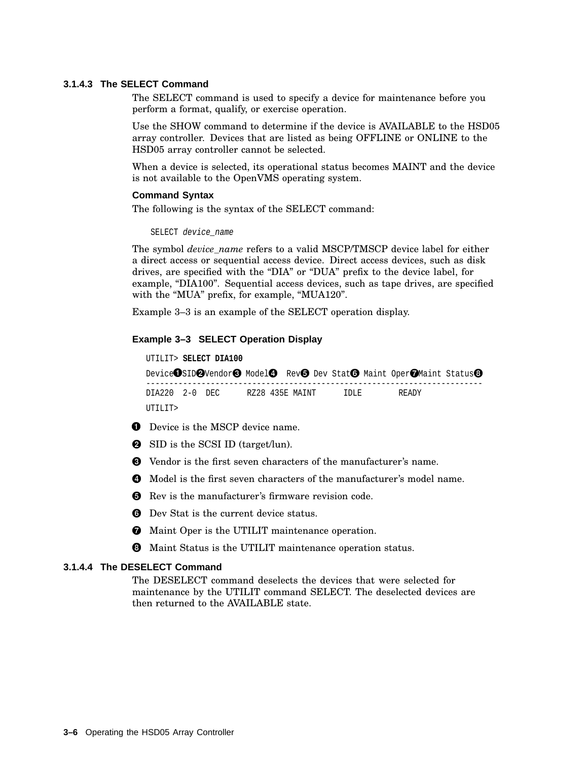#### **3.1.4.3 The SELECT Command**

The SELECT command is used to specify a device for maintenance before you perform a format, qualify, or exercise operation.

Use the SHOW command to determine if the device is AVAILABLE to the HSD05 array controller. Devices that are listed as being OFFLINE or ONLINE to the HSD05 array controller cannot be selected.

When a device is selected, its operational status becomes MAINT and the device is not available to the OpenVMS operating system.

#### **Command Syntax**

The following is the syntax of the SELECT command:

```
SELECT device_name
```
The symbol *device\_name* refers to a valid MSCP/TMSCP device label for either a direct access or sequential access device. Direct access devices, such as disk drives, are specified with the "DIA" or "DUA" prefix to the device label, for example, "DIA100". Sequential access devices, such as tape drives, are specified with the "MUA" prefix, for example, "MUA120".

Example 3–3 is an example of the SELECT operation display.

#### **Example 3–3 SELECT Operation Display**

```
UTILIT> SELECT DIA100
Device\bigcircSID\bigcircVendor\bigcirc Model\bigcirc Rev\bigcirc Dev Stat\bigcirc Maint Oper\bigcircMaint Status\bigcirc-------------------------------------------------------------------------
DIA220 2-0 DEC RZ28 435E MAINT IDLE READY
UTILIT>
```
- **O** Device is the MSCP device name.
- **2** SID is the SCSI ID (target/lun).
- Vendor is the first seven characters of the manufacturer's name.
- **O** Model is the first seven characters of the manufacturer's model name.
- $\Theta$  Rev is the manufacturer's firmware revision code.
- **O** Dev Stat is the current device status.
- $\bullet$  Maint Oper is the UTILIT maintenance operation.
- $\Theta$  Maint Status is the UTILIT maintenance operation status.

#### **3.1.4.4 The DESELECT Command**

The DESELECT command deselects the devices that were selected for maintenance by the UTILIT command SELECT. The deselected devices are then returned to the AVAILABLE state.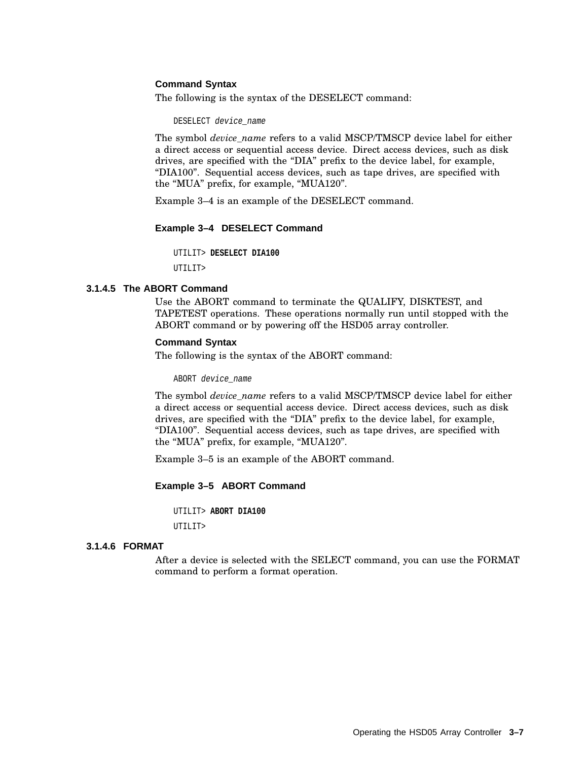#### **Command Syntax**

The following is the syntax of the DESELECT command:

DESELECT device name

The symbol *device\_name* refers to a valid MSCP/TMSCP device label for either a direct access or sequential access device. Direct access devices, such as disk drives, are specified with the ''DIA'' prefix to the device label, for example, ''DIA100''. Sequential access devices, such as tape drives, are specified with the "MUA" prefix, for example, "MUA120".

Example 3–4 is an example of the DESELECT command.

#### **Example 3–4 DESELECT Command**

UTILIT> **DESELECT DIA100**

UTILIT>

#### **3.1.4.5 The ABORT Command**

Use the ABORT command to terminate the QUALIFY, DISKTEST, and TAPETEST operations. These operations normally run until stopped with the ABORT command or by powering off the HSD05 array controller.

#### **Command Syntax**

The following is the syntax of the ABORT command:

ABORT device\_name

The symbol *device\_name* refers to a valid MSCP/TMSCP device label for either a direct access or sequential access device. Direct access devices, such as disk drives, are specified with the ''DIA'' prefix to the device label, for example, ''DIA100''. Sequential access devices, such as tape drives, are specified with the "MUA" prefix, for example, "MUA120".

Example 3–5 is an example of the ABORT command.

#### **Example 3–5 ABORT Command**

UTILIT> **ABORT DIA100** UTILIT>

#### **3.1.4.6 FORMAT**

After a device is selected with the SELECT command, you can use the FORMAT command to perform a format operation.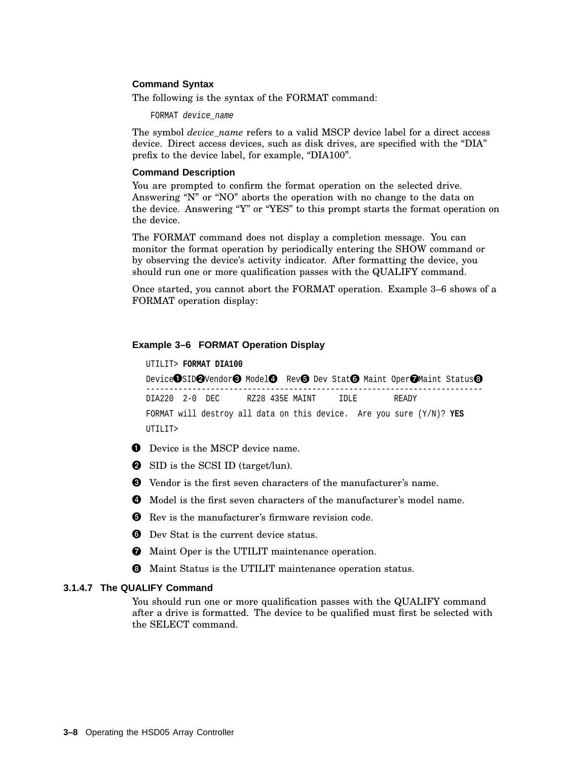#### **Command Syntax**

The following is the syntax of the FORMAT command:

FORMAT device name

The symbol *device* name refers to a valid MSCP device label for a direct access device. Direct access devices, such as disk drives, are specified with the "DIA" prefix to the device label, for example, "DIA100".

#### **Command Description**

You are prompted to confirm the format operation on the selected drive. Answering "N" or "NO" aborts the operation with no change to the data on the device. Answering "Y" or "YES" to this prompt starts the format operation on the device.

The FORMAT command does not display a completion message. You can monitor the format operation by periodically entering the SHOW command or by observing the device's activity indicator. After formatting the device, you should run one or more qualification passes with the QUALIFY command.

Once started, you cannot abort the FORMAT operation. Example 3–6 shows of a FORMAT operation display:

#### **Example 3–6 FORMAT Operation Display**

```
UTILIT> FORMAT DIA100
```

```
Device\bigcircSID\bigcircVendor\bigcirc Model\bigcirc Rev\bigcirc Dev Stat\bigcirc Maint Oper\bigcircMaint Status\bigcirc-------------------------------------------------------------------------
DIA220 2-0 DEC RZ28 435E MAINT IDLE READY
FORMAT will destroy all data on this device. Are you sure (Y/N)? YES
UTILIT>
```
- **O** Device is the MSCP device name.
- **2** SID is the SCSI ID (target/lun).
- Vendor is the first seven characters of the manufacturer's name.
- **4** Model is the first seven characters of the manufacturer's model name.
- **O** Rev is the manufacturer's firmware revision code.
- **O** Dev Stat is the current device status.
- $\bullet$  Maint Oper is the UTILIT maintenance operation.
- $\Theta$  Maint Status is the UTILIT maintenance operation status.

#### **3.1.4.7 The QUALIFY Command**

You should run one or more qualification passes with the QUALIFY command after a drive is formatted. The device to be qualified must first be selected with the SELECT command.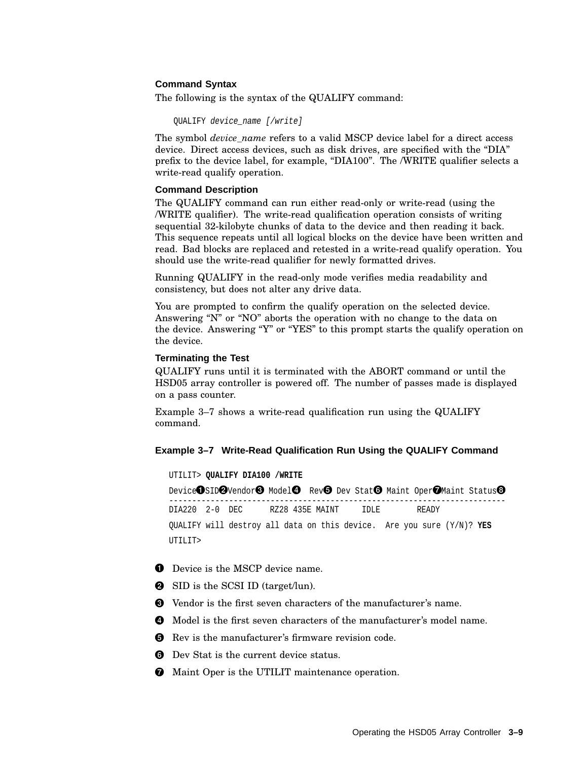#### **Command Syntax**

The following is the syntax of the QUALIFY command:

QUALIFY device\_name [/write]

The symbol *device\_name* refers to a valid MSCP device label for a direct access device. Direct access devices, such as disk drives, are specified with the "DIA" prefix to the device label, for example, "DIA100". The /WRITE qualifier selects a write-read qualify operation.

#### **Command Description**

The QUALIFY command can run either read-only or write-read (using the /WRITE qualifier). The write-read qualification operation consists of writing sequential 32-kilobyte chunks of data to the device and then reading it back. This sequence repeats until all logical blocks on the device have been written and read. Bad blocks are replaced and retested in a write-read qualify operation. You should use the write-read qualifier for newly formatted drives.

Running QUALIFY in the read-only mode verifies media readability and consistency, but does not alter any drive data.

You are prompted to confirm the qualify operation on the selected device. Answering "N" or "NO" aborts the operation with no change to the data on the device. Answering "Y" or "YES" to this prompt starts the qualify operation on the device.

#### **Terminating the Test**

QUALIFY runs until it is terminated with the ABORT command or until the HSD05 array controller is powered off. The number of passes made is displayed on a pass counter.

Example 3–7 shows a write-read qualification run using the QUALIFY command.

#### **Example 3–7 Write-Read Qualification Run Using the QUALIFY Command**

UTILIT> **QUALIFY DIA100 /WRITE** Device OSID⊘Vendor⊙ Model⊙ Rev⊙ Dev Stat⊙ Maint Oper⊘Maint Status⊙ ------------------------------------------------------------------------- DIA220 2-0 DEC RZ28 435E MAINT IDLE READY QUALIFY will destroy all data on this device. Are you sure (Y/N)? **YES** UTILIT>

- **O** Device is the MSCP device name.
- **2** SID is the SCSI ID (target/lun).
- Vendor is the first seven characters of the manufacturer's name.
- **O** Model is the first seven characters of the manufacturer's model name.
- $\Theta$  Rev is the manufacturer's firmware revision code.
- **O** Dev Stat is the current device status.
- $\bullet$  Maint Oper is the UTILIT maintenance operation.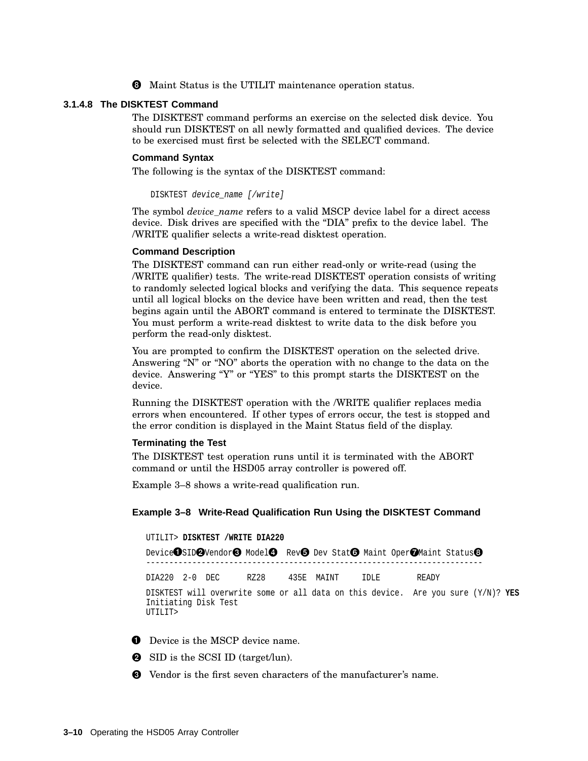$\Theta$  Maint Status is the UTILIT maintenance operation status.

#### **3.1.4.8 The DISKTEST Command**

The DISKTEST command performs an exercise on the selected disk device. You should run DISKTEST on all newly formatted and qualified devices. The device to be exercised must first be selected with the SELECT command.

#### **Command Syntax**

The following is the syntax of the DISKTEST command:

DISKTEST device\_name [/write]

The symbol *device\_name* refers to a valid MSCP device label for a direct access device. Disk drives are specified with the ''DIA'' prefix to the device label. The /WRITE qualifier selects a write-read disktest operation.

#### **Command Description**

The DISKTEST command can run either read-only or write-read (using the /WRITE qualifier) tests. The write-read DISKTEST operation consists of writing to randomly selected logical blocks and verifying the data. This sequence repeats until all logical blocks on the device have been written and read, then the test begins again until the ABORT command is entered to terminate the DISKTEST. You must perform a write-read disktest to write data to the disk before you perform the read-only disktest.

You are prompted to confirm the DISKTEST operation on the selected drive. Answering "N" or "NO" aborts the operation with no change to the data on the device. Answering "Y" or "YES" to this prompt starts the DISKTEST on the device.

Running the DISKTEST operation with the /WRITE qualifier replaces media errors when encountered. If other types of errors occur, the test is stopped and the error condition is displayed in the Maint Status field of the display.

#### **Terminating the Test**

The DISKTEST test operation runs until it is terminated with the ABORT command or until the HSD05 array controller is powered off.

Example 3–8 shows a write-read qualification run.

#### **Example 3–8 Write-Read Qualification Run Using the DISKTEST Command**

UTILIT> **DISKTEST /WRITE DIA220** Device $\bigcirc$ SID $\bigcirc$ Vendor $\bigcirc$  Model $\bigcirc$  Rev $\bigcirc$  Dev Stat $\bigcirc$  Maint Oper $\bigcirc$ Maint Status $\bigcirc$ ------------------------------------------------------------------------- DIA220 2-0 DEC RZ28 435E MAINT IDLE READY DISKTEST will overwrite some or all data on this device. Are you sure (Y/N)? **YES** Initiating Disk Test UTILIT>

- **O** Device is the MSCP device name.
- **2** SID is the SCSI ID (target/lun).
- Vendor is the first seven characters of the manufacturer's name.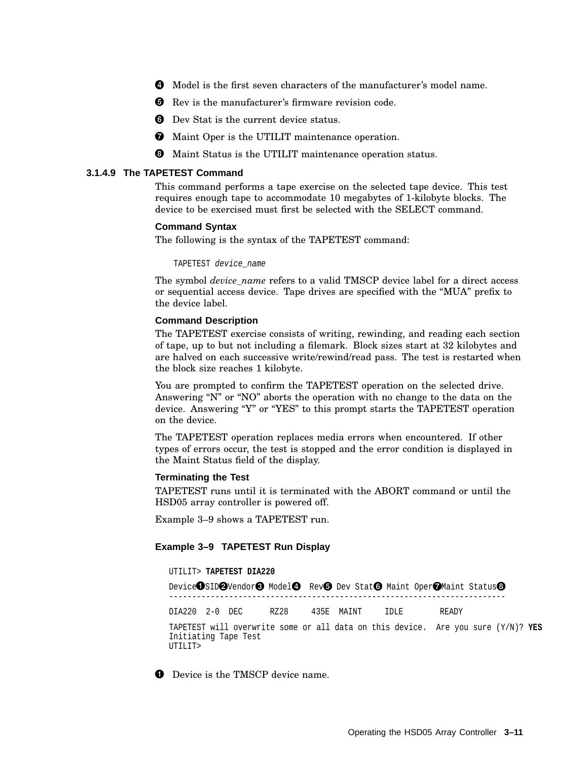- Model is the first seven characters of the manufacturer's model name.
- **O** Rev is the manufacturer's firmware revision code.
- **O** Dev Stat is the current device status.
- $\bullet$  Maint Oper is the UTILIT maintenance operation.
- $\Theta$  Maint Status is the UTILIT maintenance operation status.

#### **3.1.4.9 The TAPETEST Command**

This command performs a tape exercise on the selected tape device. This test requires enough tape to accommodate 10 megabytes of 1-kilobyte blocks. The device to be exercised must first be selected with the SELECT command.

#### **Command Syntax**

The following is the syntax of the TAPETEST command:

TAPETEST device\_name

The symbol *device\_name* refers to a valid TMSCP device label for a direct access or sequential access device. Tape drives are specified with the ''MUA'' prefix to the device label.

#### **Command Description**

The TAPETEST exercise consists of writing, rewinding, and reading each section of tape, up to but not including a filemark. Block sizes start at 32 kilobytes and are halved on each successive write/rewind/read pass. The test is restarted when the block size reaches 1 kilobyte.

You are prompted to confirm the TAPETEST operation on the selected drive. Answering " $N$ " or "NO" aborts the operation with no change to the data on the device. Answering "Y" or "YES" to this prompt starts the TAPETEST operation on the device.

The TAPETEST operation replaces media errors when encountered. If other types of errors occur, the test is stopped and the error condition is displayed in the Maint Status field of the display.

#### **Terminating the Test**

TAPETEST runs until it is terminated with the ABORT command or until the HSD05 array controller is powered off.

Example 3–9 shows a TAPETEST run.

#### **Example 3–9 TAPETEST Run Display**

#### UTILIT> **TAPETEST DIA220**

Device OSID⊘Vendor⊙ Model⊙ Rev⊙ Dev Stat⊙ Maint Oper⊘Maint Status⊙ ------------------------------------------------------------------------- DIA220 2-0 DEC RZ28 435E MAINT IDLE READY TAPETEST will overwrite some or all data on this device. Are you sure (Y/N)? **YES** Initiating Tape Test UTILIT>

**O** Device is the TMSCP device name.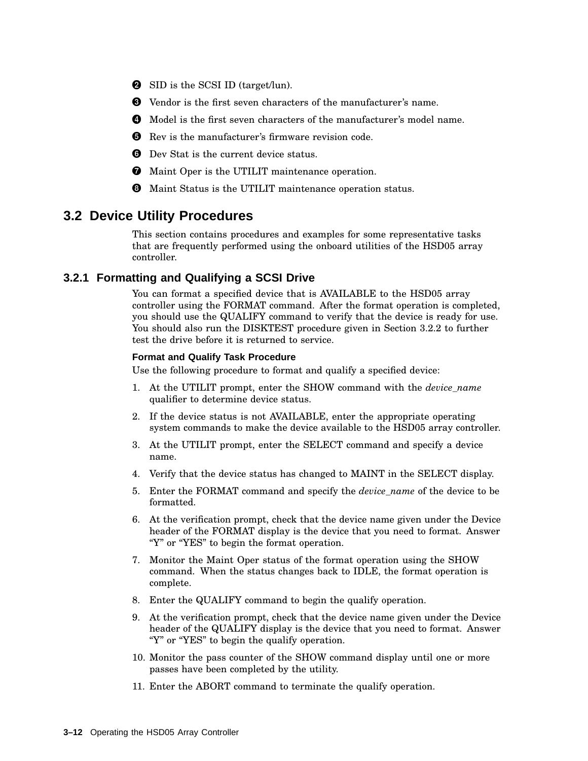- **2** SID is the SCSI ID (target/lun).
- Vendor is the first seven characters of the manufacturer's name.
- Model is the first seven characters of the manufacturer's model name.
- **O** Rev is the manufacturer's firmware revision code.
- **O** Dev Stat is the current device status.
- $\bullet$  Maint Oper is the UTILIT maintenance operation.
- $\Theta$  Maint Status is the UTILIT maintenance operation status.

### **3.2 Device Utility Procedures**

This section contains procedures and examples for some representative tasks that are frequently performed using the onboard utilities of the HSD05 array controller.

#### **3.2.1 Formatting and Qualifying a SCSI Drive**

You can format a specified device that is AVAILABLE to the HSD05 array controller using the FORMAT command. After the format operation is completed, you should use the QUALIFY command to verify that the device is ready for use. You should also run the DISKTEST procedure given in Section 3.2.2 to further test the drive before it is returned to service.

#### **Format and Qualify Task Procedure**

Use the following procedure to format and qualify a specified device:

- 1. At the UTILIT prompt, enter the SHOW command with the *device\_name* qualifier to determine device status.
- 2. If the device status is not AVAILABLE, enter the appropriate operating system commands to make the device available to the HSD05 array controller.
- 3. At the UTILIT prompt, enter the SELECT command and specify a device name.
- 4. Verify that the device status has changed to MAINT in the SELECT display.
- 5. Enter the FORMAT command and specify the *device\_name* of the device to be formatted.
- 6. At the verification prompt, check that the device name given under the Device header of the FORMAT display is the device that you need to format. Answer "Y" or "YES" to begin the format operation.
- 7. Monitor the Maint Oper status of the format operation using the SHOW command. When the status changes back to IDLE, the format operation is complete.
- 8. Enter the QUALIFY command to begin the qualify operation.
- 9. At the verification prompt, check that the device name given under the Device header of the QUALIFY display is the device that you need to format. Answer "Y" or "YES" to begin the qualify operation.
- 10. Monitor the pass counter of the SHOW command display until one or more passes have been completed by the utility.
- 11. Enter the ABORT command to terminate the qualify operation.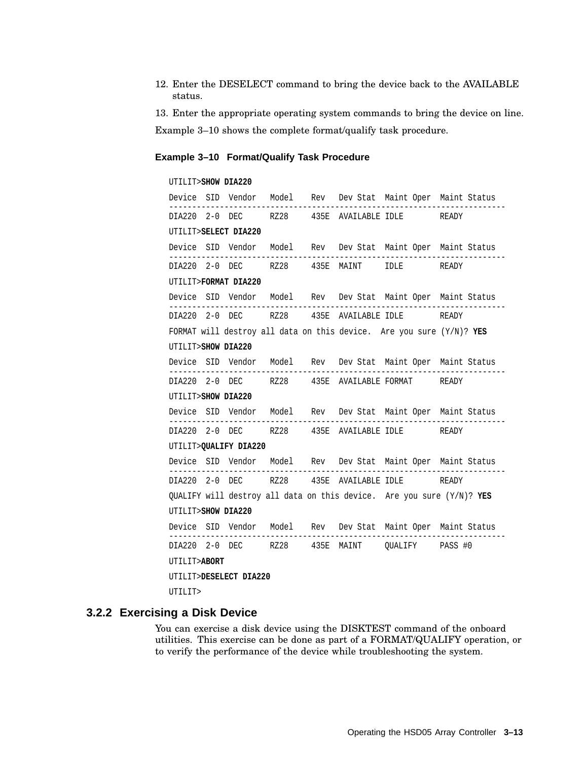12. Enter the DESELECT command to bring the device back to the AVAILABLE status.

13. Enter the appropriate operating system commands to bring the device on line.

Example 3–10 shows the complete format/qualify task procedure.

#### **Example 3–10 Format/Qualify Task Procedure**

### UTILIT>**SHOW DIA220** Device SID Vendor Model Rev Dev Stat Maint Oper Maint Status ------------------------------------------------------------------------- DIA220 2-0 DEC RZ28 435E AVAILABLE IDLE READY UTILIT>**SELECT DIA220** Device SID Vendor Model Rev Dev Stat Maint Oper Maint Status ------------------------------------------------------------------------- DIA220 2-0 DEC RZ28 435E MAINT IDLE READY UTILIT>**FORMAT DIA220** Device SID Vendor Model Rev Dev Stat Maint Oper Maint Status ------------------------------------------------------------------------- DIA220 2-0 DEC RZ28 435E AVAILABLE IDLE READY FORMAT will destroy all data on this device. Are you sure (Y/N)? **YES** UTILIT>**SHOW DIA220** Device SID Vendor Model Rev Dev Stat Maint Oper Maint Status ------------------------------------------------------------------------- DIA220 2-0 DEC RZ28 435E AVAILABLE FORMAT READY UTILIT>**SHOW DIA220** Device SID Vendor Model Rev Dev Stat Maint Oper Maint Status ------------------------------------------------------------------------- DIA220 2-0 DEC RZ28 435E AVAILABLE IDLE READY UTILIT>**QUALIFY DIA220** Device SID Vendor Model Rev Dev Stat Maint Oper Maint Status ------------------------------------------------------------------------- DIA220 2-0 DEC RZ28 435E AVAILABLE IDLE READY QUALIFY will destroy all data on this device. Are you sure (Y/N)? **YES** UTILIT>**SHOW DIA220** Device SID Vendor Model Rev Dev Stat Maint Oper Maint Status ------------------------------------------------------------------------- DIA220 2-0 DEC RZ28 435E MAINT QUALIFY PASS #0 UTILIT>**ABORT** UTILIT>**DESELECT DIA220** UTILIT>

#### **3.2.2 Exercising a Disk Device**

You can exercise a disk device using the DISKTEST command of the onboard utilities. This exercise can be done as part of a FORMAT/QUALIFY operation, or to verify the performance of the device while troubleshooting the system.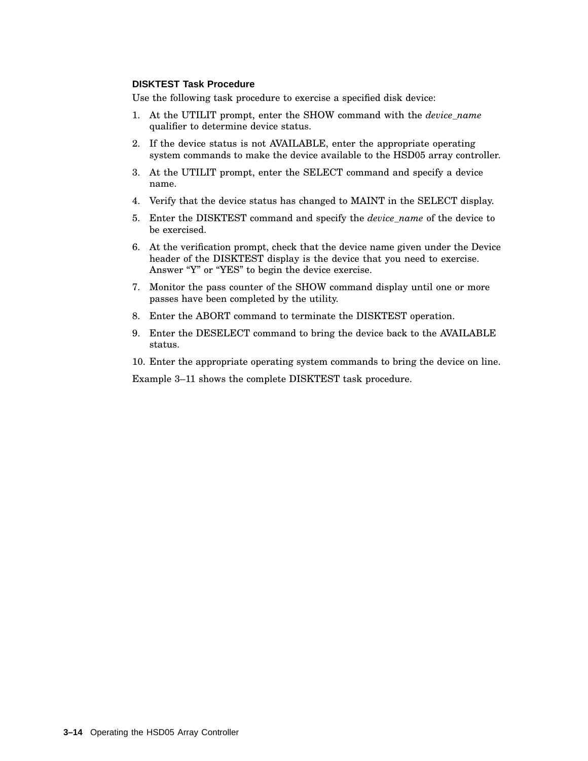#### **DISKTEST Task Procedure**

Use the following task procedure to exercise a specified disk device:

- 1. At the UTILIT prompt, enter the SHOW command with the *device\_name* qualifier to determine device status.
- 2. If the device status is not AVAILABLE, enter the appropriate operating system commands to make the device available to the HSD05 array controller.
- 3. At the UTILIT prompt, enter the SELECT command and specify a device name.
- 4. Verify that the device status has changed to MAINT in the SELECT display.
- 5. Enter the DISKTEST command and specify the *device\_name* of the device to be exercised.
- 6. At the verification prompt, check that the device name given under the Device header of the DISKTEST display is the device that you need to exercise. Answer "Y" or "YES" to begin the device exercise.
- 7. Monitor the pass counter of the SHOW command display until one or more passes have been completed by the utility.
- 8. Enter the ABORT command to terminate the DISKTEST operation.
- 9. Enter the DESELECT command to bring the device back to the AVAILABLE status.
- 10. Enter the appropriate operating system commands to bring the device on line.

Example 3–11 shows the complete DISKTEST task procedure.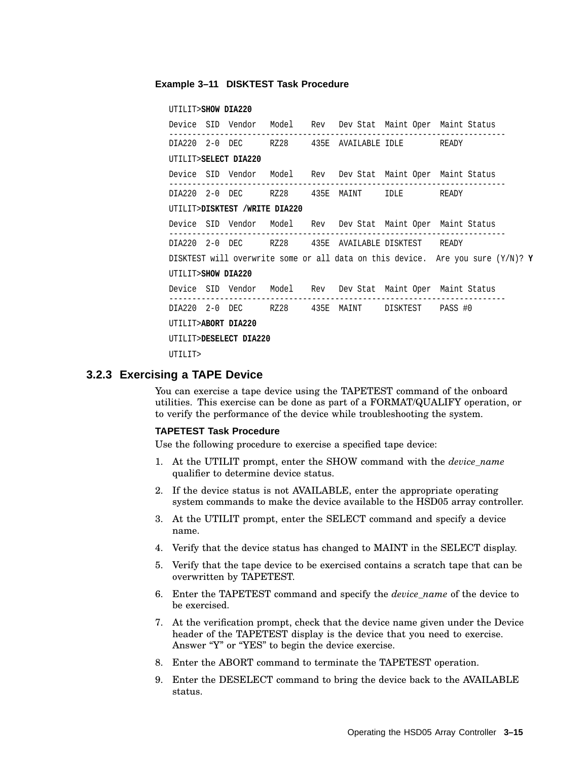#### **Example 3–11 DISKTEST Task Procedure**

#### UTILIT>**SHOW DIA220**

Device SID Vendor Model Rev Dev Stat Maint Oper Maint Status ------------------------------------------------------------------------- DIA220 2-0 DEC RZ28 435E AVAILABLE IDLE READY UTILIT>**SELECT DIA220** Device SID Vendor Model Rev Dev Stat Maint Oper Maint Status ------------------------------------------------------------------------- DIA220 2-0 DEC RZ28 435E MAINT IDLE READY UTILIT>**DISKTEST /WRITE DIA220** Device SID Vendor Model Rev Dev Stat Maint Oper Maint Status ------------------------------------------------------------------------- DIA220 2-0 DEC RZ28 435E AVAILABLE DISKTEST READY DISKTEST will overwrite some or all data on this device. Are you sure (Y/N)? **Y** UTILIT>**SHOW DIA220** Device SID Vendor Model Rev Dev Stat Maint Oper Maint Status ------------------------------------------------------------------------- DIA220 2-0 DEC RZ28 435E MAINT DISKTEST PASS #0 UTILIT>**ABORT DIA220** UTILIT>**DESELECT DIA220** UTILIT>

#### **3.2.3 Exercising a TAPE Device**

You can exercise a tape device using the TAPETEST command of the onboard utilities. This exercise can be done as part of a FORMAT/QUALIFY operation, or to verify the performance of the device while troubleshooting the system.

#### **TAPETEST Task Procedure**

Use the following procedure to exercise a specified tape device:

- 1. At the UTILIT prompt, enter the SHOW command with the *device\_name* qualifier to determine device status.
- 2. If the device status is not AVAILABLE, enter the appropriate operating system commands to make the device available to the HSD05 array controller.
- 3. At the UTILIT prompt, enter the SELECT command and specify a device name.
- 4. Verify that the device status has changed to MAINT in the SELECT display.
- 5. Verify that the tape device to be exercised contains a scratch tape that can be overwritten by TAPETEST.
- 6. Enter the TAPETEST command and specify the *device\_name* of the device to be exercised.
- 7. At the verification prompt, check that the device name given under the Device header of the TAPETEST display is the device that you need to exercise. Answer "Y" or "YES" to begin the device exercise.
- 8. Enter the ABORT command to terminate the TAPETEST operation.
- 9. Enter the DESELECT command to bring the device back to the AVAILABLE status.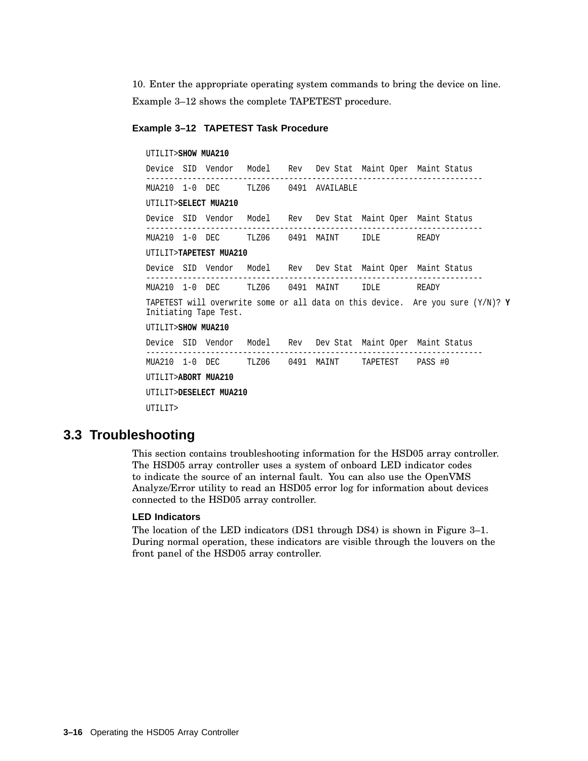10. Enter the appropriate operating system commands to bring the device on line. Example 3–12 shows the complete TAPETEST procedure.

#### **Example 3–12 TAPETEST Task Procedure**

UTILIT>**SHOW MUA210** Device SID Vendor Model Rev Dev Stat Maint Oper Maint Status ------------------------------------------------------------------------- MUA210 1-0 DEC TLZ06 0491 AVAILABLE UTILIT>**SELECT MUA210** Device SID Vendor Model Rev Dev Stat Maint Oper Maint Status ------------------------------------------------------------------------- MUA210 1-0 DEC TLZ06 0491 MAINT IDLE READY UTILIT>**TAPETEST MUA210** Device SID Vendor Model Rev Dev Stat Maint Oper Maint Status ------------------------------------------------------------------------- MUA210 1-0 DEC TLZ06 0491 MAINT IDLE READY TAPETEST will overwrite some or all data on this device. Are you sure (Y/N)? **Y** Initiating Tape Test. UTILIT>**SHOW MUA210** Device SID Vendor Model Rev Dev Stat Maint Oper Maint Status ------------------------------------------------------------------------- MUA210 1-0 DEC TLZ06 0491 MAINT TAPETEST PASS #0 UTILIT>**ABORT MUA210** UTILIT>**DESELECT MUA210** UTILIT>

## **3.3 Troubleshooting**

This section contains troubleshooting information for the HSD05 array controller. The HSD05 array controller uses a system of onboard LED indicator codes to indicate the source of an internal fault. You can also use the OpenVMS Analyze/Error utility to read an HSD05 error log for information about devices connected to the HSD05 array controller.

#### **LED Indicators**

The location of the LED indicators (DS1 through DS4) is shown in Figure 3–1. During normal operation, these indicators are visible through the louvers on the front panel of the HSD05 array controller.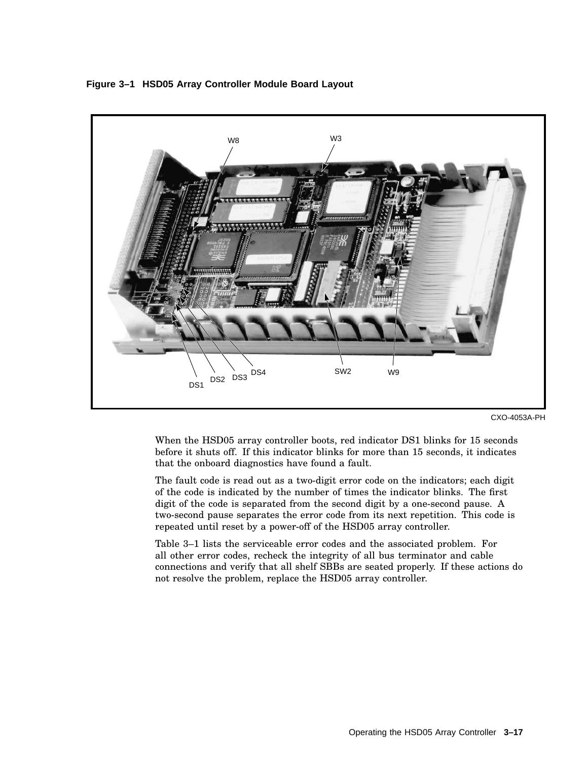

**Figure 3–1 HSD05 Array Controller Module Board Layout**

When the HSD05 array controller boots, red indicator DS1 blinks for 15 seconds before it shuts off. If this indicator blinks for more than 15 seconds, it indicates that the onboard diagnostics have found a fault.

The fault code is read out as a two-digit error code on the indicators; each digit of the code is indicated by the number of times the indicator blinks. The first digit of the code is separated from the second digit by a one-second pause. A two-second pause separates the error code from its next repetition. This code is repeated until reset by a power-off of the HSD05 array controller.

Table 3–1 lists the serviceable error codes and the associated problem. For all other error codes, recheck the integrity of all bus terminator and cable connections and verify that all shelf SBBs are seated properly. If these actions do not resolve the problem, replace the HSD05 array controller.

CXO-4053A-PH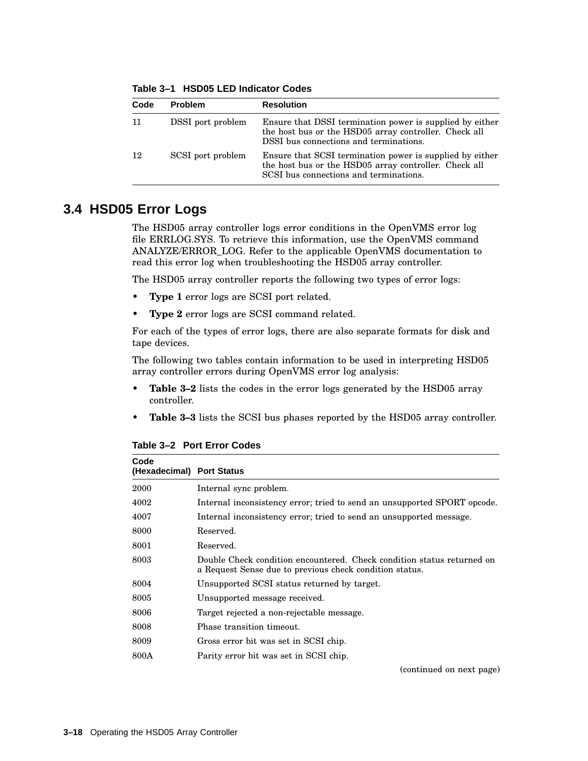| Code | <b>Problem</b>    | <b>Resolution</b>                                                                                                                                           |
|------|-------------------|-------------------------------------------------------------------------------------------------------------------------------------------------------------|
| -11  | DSSI port problem | Ensure that DSSI termination power is supplied by either<br>the host bus or the HSD05 array controller. Check all<br>DSSI bus connections and terminations. |
| 12   | SCSI port problem | Ensure that SCSI termination power is supplied by either<br>the host bus or the HSD05 array controller. Check all<br>SCSI bus connections and terminations. |

**Table 3–1 HSD05 LED Indicator Codes**

## **3.4 HSD05 Error Logs**

The HSD05 array controller logs error conditions in the OpenVMS error log file ERRLOG.SYS. To retrieve this information, use the OpenVMS command ANALYZE/ERROR\_LOG. Refer to the applicable OpenVMS documentation to read this error log when troubleshooting the HSD05 array controller.

The HSD05 array controller reports the following two types of error logs:

- **Type 1** error logs are SCSI port related.
- **Type 2** error logs are SCSI command related.

For each of the types of error logs, there are also separate formats for disk and tape devices.

The following two tables contain information to be used in interpreting HSD05 array controller errors during OpenVMS error log analysis:

- **Table 3–2** lists the codes in the error logs generated by the HSD05 array controller.
- **Table 3–3** lists the SCSI bus phases reported by the HSD05 array controller.

| Code<br>(Hexadecimal) Port Status |                                                                                                                                   |
|-----------------------------------|-----------------------------------------------------------------------------------------------------------------------------------|
| 2000                              | Internal sync problem.                                                                                                            |
| 4002                              | Internal inconsistency error; tried to send an unsupported SPORT opcode.                                                          |
| 4007                              | Internal inconsistency error; tried to send an unsupported message.                                                               |
| 8000                              | Reserved.                                                                                                                         |
| 8001                              | Reserved.                                                                                                                         |
| 8003                              | Double Check condition encountered. Check condition status returned on<br>a Request Sense due to previous check condition status. |
| 8004                              | Unsupported SCSI status returned by target.                                                                                       |
| 8005                              | Unsupported message received.                                                                                                     |
| 8006                              | Target rejected a non-rejectable message.                                                                                         |
| 8008                              | Phase transition timeout.                                                                                                         |
| 8009                              | Gross error bit was set in SCSI chip.                                                                                             |
| 800A                              | Parity error bit was set in SCSI chip.                                                                                            |
|                                   | (continued on next page)                                                                                                          |

**Table 3–2 Port Error Codes**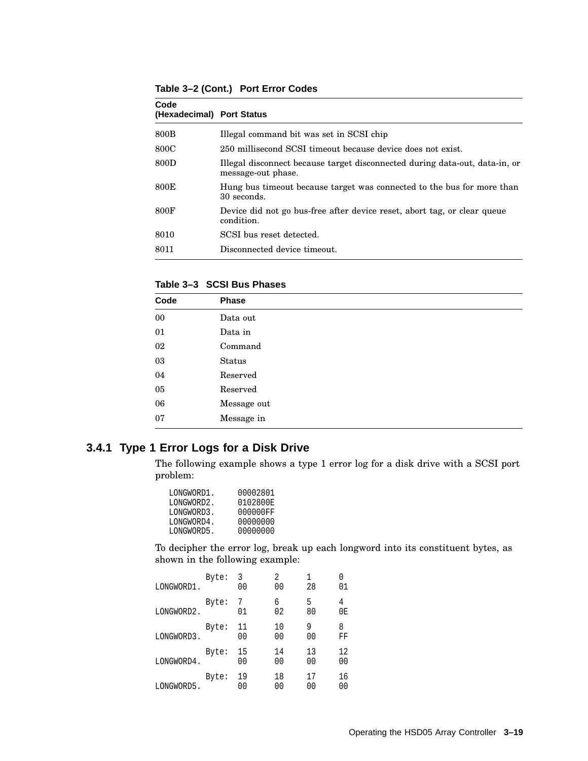**Table 3–2 (Cont.) Port Error Codes**

| Code<br>(Hexadecimal) Port Status |                                                                                                   |
|-----------------------------------|---------------------------------------------------------------------------------------------------|
| 800B                              | Illegal command bit was set in SCSI chip                                                          |
| 800C                              | 250 millisecond SCSI timeout because device does not exist.                                       |
| 800D                              | Illegal disconnect because target disconnected during data-out, data-in, or<br>message-out phase. |
| 800E                              | Hung bus timeout because target was connected to the bus for more than<br>30 seconds.             |
| 800F                              | Device did not go bus-free after device reset, abort tag, or clear queue<br>condition.            |
| 8010                              | SCSI bus reset detected.                                                                          |
| 8011                              | Disconnected device timeout.                                                                      |

**Table 3–3 SCSI Bus Phases**

| Code   | Phase         |  |
|--------|---------------|--|
| $00\,$ | Data out      |  |
| 01     | Data in       |  |
| 02     | Command       |  |
| 03     | <b>Status</b> |  |
| 04     | Reserved      |  |
| $05\,$ | Reserved      |  |
| 06     | Message out   |  |
| 07     | Message in    |  |

## **3.4.1 Type 1 Error Logs for a Disk Drive**

The following example shows a type 1 error log for a disk drive with a SCSI port problem:

| LONGWORD1. | 00002801 |
|------------|----------|
| LONGWORD2. | 0102800E |
| LONGWORD3. | 000000FF |
| LONGWORD4. | 00000000 |
| LONGWORD5. | 00000000 |
|            |          |

To decipher the error log, break up each longword into its constituent bytes, as shown in the following example:

| LONGWORD1. | Byte: | 3<br>00  | 2<br>00  | 1<br>28              | 01       |
|------------|-------|----------|----------|----------------------|----------|
| LONGWORD2. | Byte: | 7<br>01  | б<br>02  | 5<br>80              | 4<br>0E  |
| LONGWORD3. | Byte: | 11<br>00 | 10<br>00 | 9<br>00              | 8<br>FF  |
| LONGWORD4. | Byte: | 15<br>00 | 14<br>00 | 13<br>0 <sub>0</sub> | 12<br>00 |
| LONGWORD5. | Byte: | 19<br>00 | 18<br>00 | 17<br>00             | 16<br>00 |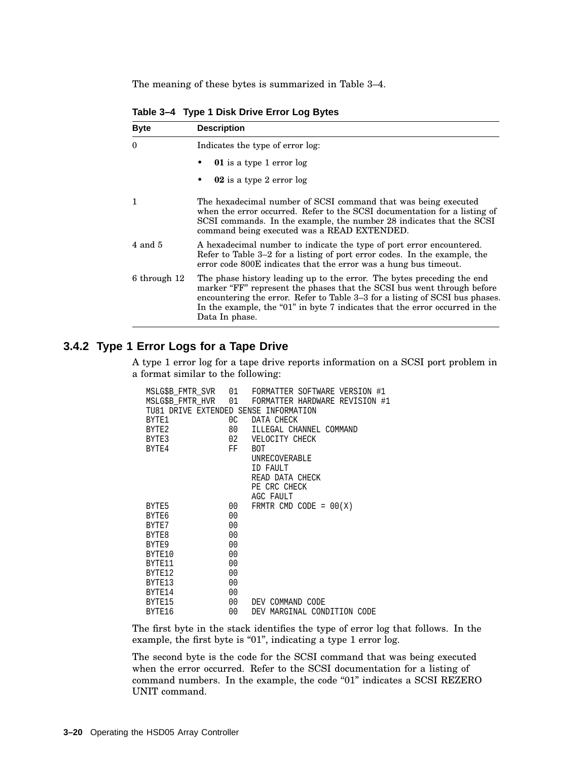The meaning of these bytes is summarized in Table 3–4.

| <b>Byte</b>  | <b>Description</b>                                                                                                                                                                                                                                                                                                                |  |  |  |  |
|--------------|-----------------------------------------------------------------------------------------------------------------------------------------------------------------------------------------------------------------------------------------------------------------------------------------------------------------------------------|--|--|--|--|
| $\Omega$     | Indicates the type of error log:                                                                                                                                                                                                                                                                                                  |  |  |  |  |
|              | <b>01</b> is a type 1 error log                                                                                                                                                                                                                                                                                                   |  |  |  |  |
|              | 02 is a type 2 error log                                                                                                                                                                                                                                                                                                          |  |  |  |  |
| 1            | The hexadecimal number of SCSI command that was being executed<br>when the error occurred. Refer to the SCSI documentation for a listing of<br>SCSI commands. In the example, the number 28 indicates that the SCSI<br>command being executed was a READ EXTENDED.                                                                |  |  |  |  |
| $4$ and $5$  | A hexadecimal number to indicate the type of port error encountered.<br>Refer to Table 3–2 for a listing of port error codes. In the example, the<br>error code 800E indicates that the error was a hung bus timeout.                                                                                                             |  |  |  |  |
| 6 through 12 | The phase history leading up to the error. The bytes preceding the end<br>marker "FF" represent the phases that the SCSI bus went through before<br>encountering the error. Refer to Table 3–3 for a listing of SCSI bus phases.<br>In the example, the "01" in byte 7 indicates that the error occurred in the<br>Data In phase. |  |  |  |  |

**Table 3–4 Type 1 Disk Drive Error Log Bytes**

### **3.4.2 Type 1 Error Logs for a Tape Drive**

A type 1 error log for a tape drive reports information on a SCSI port problem in a format similar to the following:

|                                       |                | MSLG\$B_FMTR_SVR    01    FORMATTER SOFTWARE VERSION #1       |
|---------------------------------------|----------------|---------------------------------------------------------------|
|                                       |                | MSLG\$B_FMTR_HVR         01    FORMATTER HARDWARE REVISION #1 |
| TU81 DRIVE EXTENDED SENSE INFORMATION |                |                                                               |
| BYTE1                                 | 0 <sup>C</sup> | DATA CHECK                                                    |
| BYTE <sub>2</sub>                     | 80 —           | ILLEGAL CHANNEL COMMAND                                       |
| BYTE3                                 | 02             | VELOCITY CHECK                                                |
| BYTE4                                 | FF             | <b>BOT</b>                                                    |
|                                       |                | UNRECOVERABLE                                                 |
|                                       |                | ID FAULT                                                      |
|                                       |                | READ DATA CHECK                                               |
|                                       |                | PE CRC CHECK                                                  |
|                                       |                | AGC FAULT                                                     |
| BYTE5                                 | 00             | FRMTR CMD CODE = $00(X)$                                      |
| BYTE6                                 | 00             |                                                               |
| BYTE7                                 | 0 <sub>0</sub> |                                                               |
| BYTE8                                 | 0 <sub>0</sub> |                                                               |
| BYTE9                                 | 0 <sub>0</sub> |                                                               |
| BYTE10                                | 0 <sub>0</sub> |                                                               |
| BYTE <sub>11</sub>                    | 0 <sub>0</sub> |                                                               |
| BYTE12                                | 0 <sub>0</sub> |                                                               |
| BYTE13                                | 0 <sub>0</sub> |                                                               |
| BYTE <sub>14</sub>                    | 0 <sub>0</sub> |                                                               |
| BYTE15                                | 00             | DEV COMMAND CODE                                              |
| BYTE16                                | 00             | DEV MARGINAL CONDITION CODE                                   |

The first byte in the stack identifies the type of error log that follows. In the example, the first byte is "01", indicating a type 1 error log.

The second byte is the code for the SCSI command that was being executed when the error occurred. Refer to the SCSI documentation for a listing of command numbers. In the example, the code "01" indicates a SCSI REZERO UNIT command.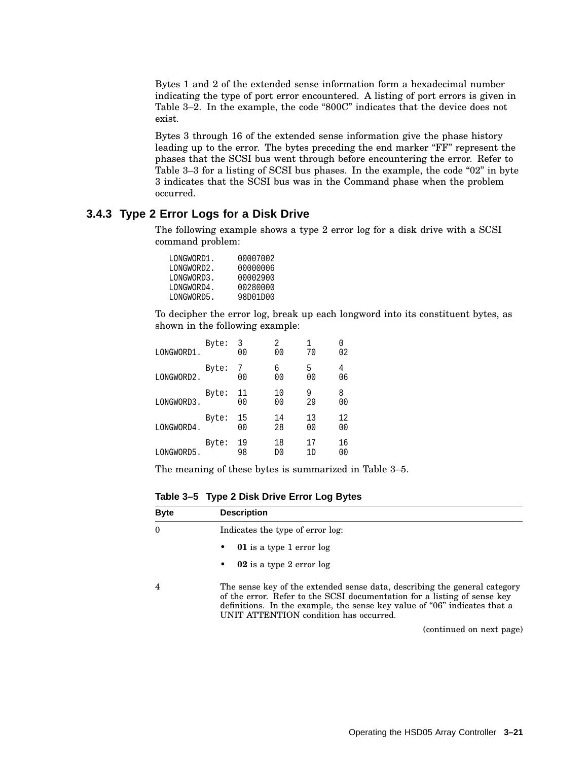Bytes 1 and 2 of the extended sense information form a hexadecimal number indicating the type of port error encountered. A listing of port errors is given in Table 3–2. In the example, the code "800C" indicates that the device does not exist.

Bytes 3 through 16 of the extended sense information give the phase history leading up to the error. The bytes preceding the end marker "FF" represent the phases that the SCSI bus went through before encountering the error. Refer to Table  $3-3$  for a listing of SCSI bus phases. In the example, the code " $02$ " in byte 3 indicates that the SCSI bus was in the Command phase when the problem occurred.

#### **3.4.3 Type 2 Error Logs for a Disk Drive**

The following example shows a type 2 error log for a disk drive with a SCSI command problem:

| LONGWORD1. | 00007002 |
|------------|----------|
| LONGWORD2. | 00000006 |
| LONGWORD3. | 00002900 |
| LONGWORD4. | 00280000 |
| LONGWORD5. | 98D01D00 |
|            |          |

To decipher the error log, break up each longword into its constituent bytes, as shown in the following example:

| LONGWORD1. | Byte: | 3<br>00              | 2<br>00              | 1<br>70              | 02       |
|------------|-------|----------------------|----------------------|----------------------|----------|
| LONGWORD2. | Byte: | 7<br>0 <sub>0</sub>  | 6<br>00              | 5<br>0 <sub>0</sub>  | 4<br>06  |
| LONGWORD3. | Byte: | 11<br>0 <sub>0</sub> | 10<br>0 <sub>0</sub> | 9<br>29              | 8<br>00  |
| LONGWORD4. | Byte: | 15<br>0 <sub>0</sub> | 14<br>28             | 13<br>0 <sub>0</sub> | 12<br>00 |
| LONGWORD5. | Byte: | 19<br>98             | 18<br>D0             | 17<br>1 D            | 16<br>00 |

The meaning of these bytes is summarized in Table 3–5.

**Table 3–5 Type 2 Disk Drive Error Log Bytes**

| <b>Byte</b> | <b>Description</b>                                                                                                                                                                                                                                                           |
|-------------|------------------------------------------------------------------------------------------------------------------------------------------------------------------------------------------------------------------------------------------------------------------------------|
| $\theta$    | Indicates the type of error log:                                                                                                                                                                                                                                             |
|             | <b>01</b> is a type 1 error log<br>٠                                                                                                                                                                                                                                         |
|             | 02 is a type 2 error log<br>٠                                                                                                                                                                                                                                                |
| 4           | The sense key of the extended sense data, describing the general category<br>of the error. Refer to the SCSI documentation for a listing of sense key<br>definitions. In the example, the sense key value of "06" indicates that a<br>UNIT ATTENTION condition has occurred. |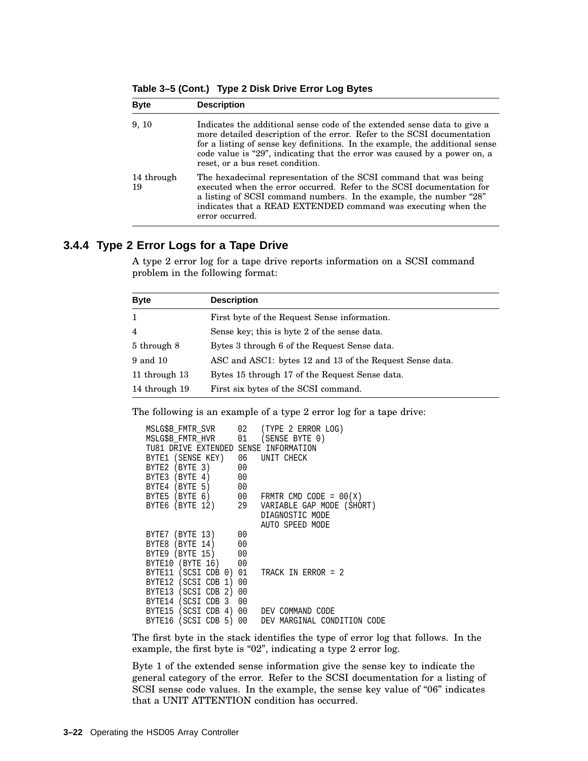|  | Table 3–5 (Cont.) Type 2 Disk Drive Error Log Bytes |  |
|--|-----------------------------------------------------|--|
|--|-----------------------------------------------------|--|

| <b>Byte</b>      | <b>Description</b>                                                                                                                                                                                                                                                                                                                                   |
|------------------|------------------------------------------------------------------------------------------------------------------------------------------------------------------------------------------------------------------------------------------------------------------------------------------------------------------------------------------------------|
| 9, 10            | Indicates the additional sense code of the extended sense data to give a<br>more detailed description of the error. Refer to the SCSI documentation<br>for a listing of sense key definitions. In the example, the additional sense<br>code value is "29", indicating that the error was caused by a power on, a<br>reset, or a bus reset condition. |
| 14 through<br>19 | The hexadecimal representation of the SCSI command that was being<br>executed when the error occurred. Refer to the SCSI documentation for<br>a listing of SCSI command numbers. In the example, the number "28"<br>indicates that a READ EXTENDED command was executing when the<br>error occurred.                                                 |

### **3.4.4 Type 2 Error Logs for a Tape Drive**

A type 2 error log for a tape drive reports information on a SCSI command problem in the following format:

| <b>Byte</b>   | <b>Description</b>                                       |
|---------------|----------------------------------------------------------|
| $\mathbf{1}$  | First byte of the Request Sense information.             |
| 4             | Sense key; this is byte 2 of the sense data.             |
| 5 through 8   | Bytes 3 through 6 of the Request Sense data.             |
| 9 and 10      | ASC and ASC1: bytes 12 and 13 of the Request Sense data. |
| 11 through 13 | Bytes 15 through 17 of the Request Sense data.           |
| 14 through 19 | First six bytes of the SCSI command.                     |

The following is an example of a type 2 error log for a tape drive:

| MSLG\$B_FMTR_SVR 02 (TYPE 2 ERROR LOG)    |                                                    |
|-------------------------------------------|----------------------------------------------------|
| MSLG\$B FMTR HVR      01   (SENSE BYTE 0) |                                                    |
| TU81 DRIVE EXTENDED SENSE INFORMATION     |                                                    |
| BYTE1 (SENSE KEY) 06 UNIT CHECK           |                                                    |
| BYTE2 (BYTE 3) 00                         |                                                    |
| BYTE3 (BYTE 4) 00                         |                                                    |
| BYTE4 (BYTE 5) 00                         |                                                    |
|                                           | BYTE5 (BYTE 6) 00 FRMTR CMD CODE = $00(X)$         |
|                                           | BYTE6 (BYTE 12) 29 VARIABLE GAP MODE (SHORT)       |
|                                           | DIAGNOSTIC MODE                                    |
|                                           | AUTO SPEED MODE                                    |
| BYTE7 (BYTE 13) 00                        |                                                    |
| BYTE8 (BYTE 14) 00                        |                                                    |
| BYTE9 (BYTE 15) 00                        |                                                    |
| BYTE10 (BYTE 16) 00                       |                                                    |
| BYTE11 (SCSI CDB 0) 01 TRACK IN ERROR = 2 |                                                    |
| BYTE12 (SCSI CDB 1) 00                    |                                                    |
| BYTE13 (SCSI CDB 2) 00                    |                                                    |
| BYTE14 (SCSI CDB 3 00                     |                                                    |
| BYTE15 (SCSI CDB 4) 00 DEV COMMAND CODE   |                                                    |
|                                           | BYTE16 (SCSI CDB 5) 00 DEV MARGINAL CONDITION CODE |

The first byte in the stack identifies the type of error log that follows. In the example, the first byte is "02", indicating a type 2 error log.

Byte 1 of the extended sense information give the sense key to indicate the general category of the error. Refer to the SCSI documentation for a listing of SCSI sense code values. In the example, the sense key value of "06" indicates that a UNIT ATTENTION condition has occurred.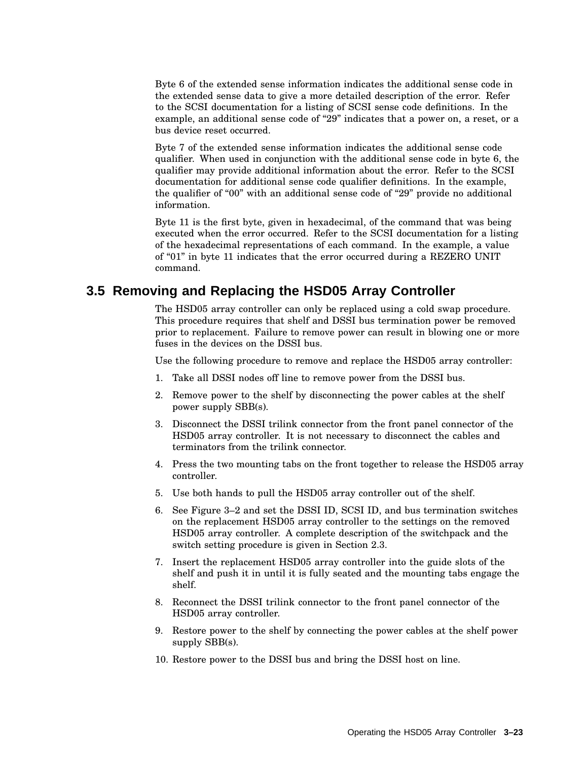Byte 6 of the extended sense information indicates the additional sense code in the extended sense data to give a more detailed description of the error. Refer to the SCSI documentation for a listing of SCSI sense code definitions. In the example, an additional sense code of "29" indicates that a power on, a reset, or a bus device reset occurred.

Byte 7 of the extended sense information indicates the additional sense code qualifier. When used in conjunction with the additional sense code in byte 6, the qualifier may provide additional information about the error. Refer to the SCSI documentation for additional sense code qualifier definitions. In the example, the qualifier of "00" with an additional sense code of "29" provide no additional information.

Byte 11 is the first byte, given in hexadecimal, of the command that was being executed when the error occurred. Refer to the SCSI documentation for a listing of the hexadecimal representations of each command. In the example, a value of "01" in byte 11 indicates that the error occurred during a REZERO UNIT command.

## **3.5 Removing and Replacing the HSD05 Array Controller**

The HSD05 array controller can only be replaced using a cold swap procedure. This procedure requires that shelf and DSSI bus termination power be removed prior to replacement. Failure to remove power can result in blowing one or more fuses in the devices on the DSSI bus.

Use the following procedure to remove and replace the HSD05 array controller:

- 1. Take all DSSI nodes off line to remove power from the DSSI bus.
- 2. Remove power to the shelf by disconnecting the power cables at the shelf power supply SBB(s).
- 3. Disconnect the DSSI trilink connector from the front panel connector of the HSD05 array controller. It is not necessary to disconnect the cables and terminators from the trilink connector.
- 4. Press the two mounting tabs on the front together to release the HSD05 array controller.
- 5. Use both hands to pull the HSD05 array controller out of the shelf.
- 6. See Figure 3–2 and set the DSSI ID, SCSI ID, and bus termination switches on the replacement HSD05 array controller to the settings on the removed HSD05 array controller. A complete description of the switchpack and the switch setting procedure is given in Section 2.3.
- 7. Insert the replacement HSD05 array controller into the guide slots of the shelf and push it in until it is fully seated and the mounting tabs engage the shelf.
- 8. Reconnect the DSSI trilink connector to the front panel connector of the HSD05 array controller.
- 9. Restore power to the shelf by connecting the power cables at the shelf power supply SBB(s).
- 10. Restore power to the DSSI bus and bring the DSSI host on line.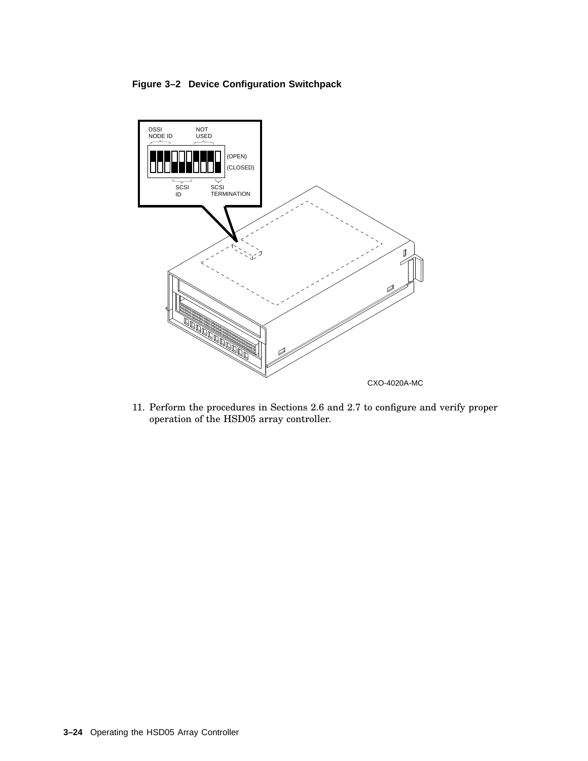#### **Figure 3–2 Device Configuration Switchpack**



11. Perform the procedures in Sections 2.6 and 2.7 to configure and verify proper operation of the HSD05 array controller.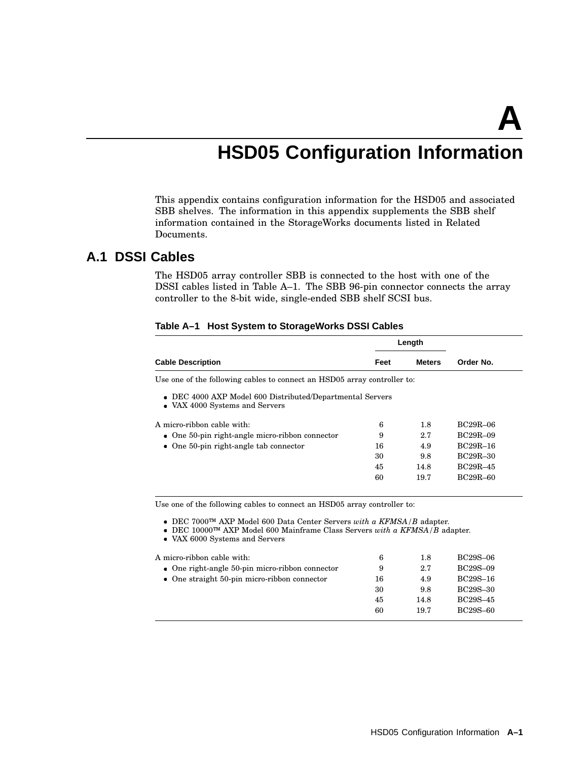**A**

## **HSD05 Configuration Information**

This appendix contains configuration information for the HSD05 and associated SBB shelves. The information in this appendix supplements the SBB shelf information contained in the StorageWorks documents listed in Related Documents.

## **A.1 DSSI Cables**

The HSD05 array controller SBB is connected to the host with one of the DSSI cables listed in Table A–1. The SBB 96-pin connector connects the array controller to the 8-bit wide, single-ended SBB shelf SCSI bus.

|                                                                          |      | Length        |            |
|--------------------------------------------------------------------------|------|---------------|------------|
| <b>Cable Description</b>                                                 | Feet | <b>Meters</b> | Order No.  |
| Use one of the following cables to connect an HSD05 array controller to: |      |               |            |
| • DEC 4000 AXP Model 600 Distributed/Departmental Servers                |      |               |            |
| • VAX 4000 Systems and Servers                                           |      |               |            |
| A micro-ribbon cable with:                                               | 6    | 1.8           | BC29R-06   |
| $\bullet$ One 50-pin right-angle micro-ribbon connector                  | 9    | 2.7           | $BC29R-09$ |
| $\bullet$ One 50-pin right-angle tab connector                           | 16   | 4.9           | $RC29R-16$ |
|                                                                          | 30   | 9.8           | BC29R-30   |
|                                                                          | 45   | 14.8          | $RC29R-45$ |

#### **Table A–1 Host System to StorageWorks DSSI Cables**

Use one of the following cables to connect an HSD05 array controller to:

DEC 7000™ AXP Model 600 Data Center Servers *with a KFMSA/B* adapter.

DEC 10000™ AXP Model 600 Mainframe Class Servers *with a KFMSA/B* adapter.

VAX 6000 Systems and Servers

| A micro-ribbon cable with:                              | 6  | 1.8  | BC29S-06 |
|---------------------------------------------------------|----|------|----------|
| $\bullet$ One right-angle 50-pin micro-ribbon connector | 9  | 2.7  | BC29S-09 |
| $\bullet$ One straight 50-pin micro-ribbon connector    | 16 | 4.9  | BC29S-16 |
|                                                         | 30 | 9.8  | BC29S-30 |
|                                                         | 45 | 14.8 | BC29S-45 |
|                                                         | 60 | 19.7 | BC29S-60 |
|                                                         |    |      |          |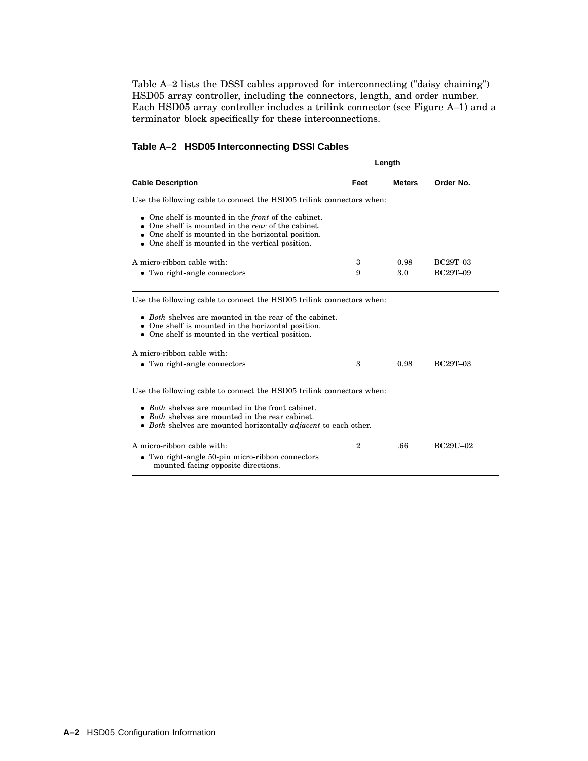Table A–2 lists the DSSI cables approved for interconnecting ("daisy chaining") HSD05 array controller, including the connectors, length, and order number. Each HSD05 array controller includes a trilink connector (see Figure A–1) and a terminator block specifically for these interconnections.

|  |  | Table A-2 HSD05 Interconnecting DSSI Cables |  |  |
|--|--|---------------------------------------------|--|--|
|--|--|---------------------------------------------|--|--|

|                                                                                                                                                                                                                                                                               |                | Length        |                 |
|-------------------------------------------------------------------------------------------------------------------------------------------------------------------------------------------------------------------------------------------------------------------------------|----------------|---------------|-----------------|
| <b>Cable Description</b>                                                                                                                                                                                                                                                      | Feet           | <b>Meters</b> | Order No.       |
| Use the following cable to connect the HSD05 trilink connectors when:                                                                                                                                                                                                         |                |               |                 |
| One shelf is mounted in the <i>front</i> of the cabinet.<br>$\bullet$<br>One shelf is mounted in the rear of the cabinet.<br>One shelf is mounted in the horizontal position.<br>One shelf is mounted in the vertical position.<br>$\bullet$                                  |                |               |                 |
| A micro-ribbon cable with:                                                                                                                                                                                                                                                    | 3              | 0.98          | <b>BC29T-03</b> |
| • Two right-angle connectors                                                                                                                                                                                                                                                  | 9              | 3.0           | <b>BC29T-09</b> |
| $\bullet$ Both shelves are mounted in the rear of the cabinet.<br>One shelf is mounted in the horizontal position.<br>One shelf is mounted in the vertical position.<br>A micro-ribbon cable with:<br>• Two right-angle connectors                                            | 3              | 0.98          | <b>BC29T-03</b> |
| Use the following cable to connect the HSD05 trilink connectors when:<br><i>Both</i> shelves are mounted in the front cabinet.<br>$\bullet$<br><i>Both</i> shelves are mounted in the rear cabinet.<br>• Both shelves are mounted horizontally <i>adjacent</i> to each other. |                |               |                 |
| A micro-ribbon cable with:<br>• Two right-angle 50-pin micro-ribbon connectors<br>mounted facing opposite directions.                                                                                                                                                         | $\overline{2}$ | .66           | BC29U-02        |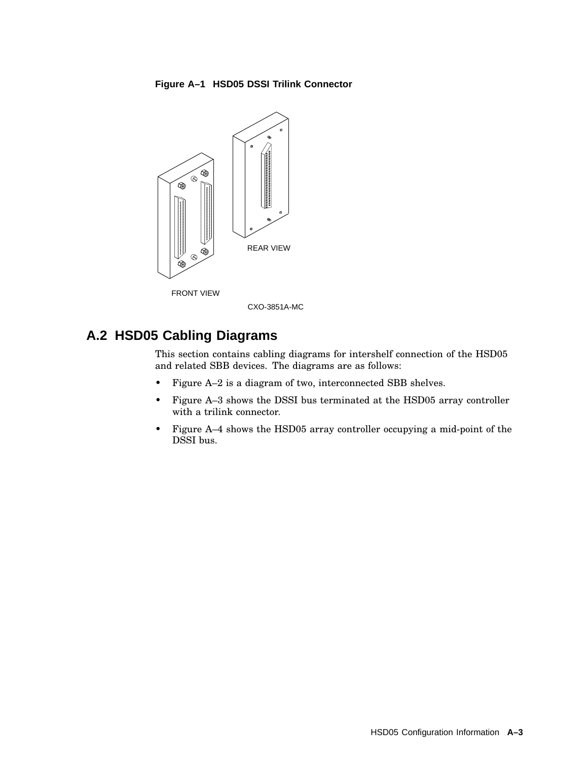#### **Figure A–1 HSD05 DSSI Trilink Connector**



## **A.2 HSD05 Cabling Diagrams**

This section contains cabling diagrams for intershelf connection of the HSD05 and related SBB devices. The diagrams are as follows:

- Figure A–2 is a diagram of two, interconnected SBB shelves.
- Figure A–3 shows the DSSI bus terminated at the HSD05 array controller with a trilink connector.
- Figure A–4 shows the HSD05 array controller occupying a mid-point of the DSSI bus.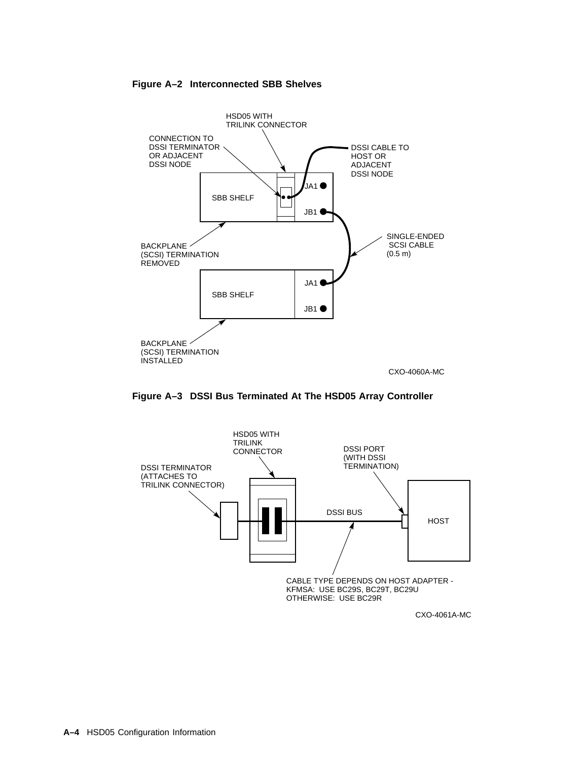#### **Figure A–2 Interconnected SBB Shelves**



**Figure A–3 DSSI Bus Terminated At The HSD05 Array Controller**



CXO-4061A-MC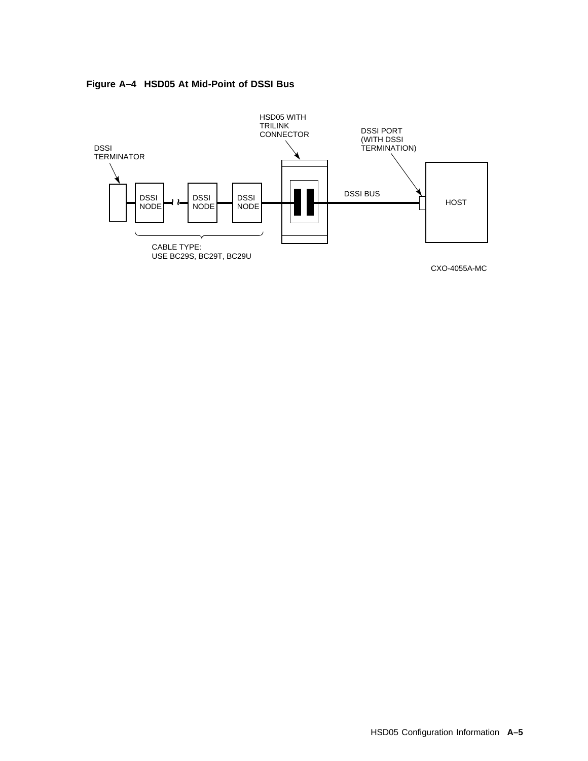



CXO-4055A-MC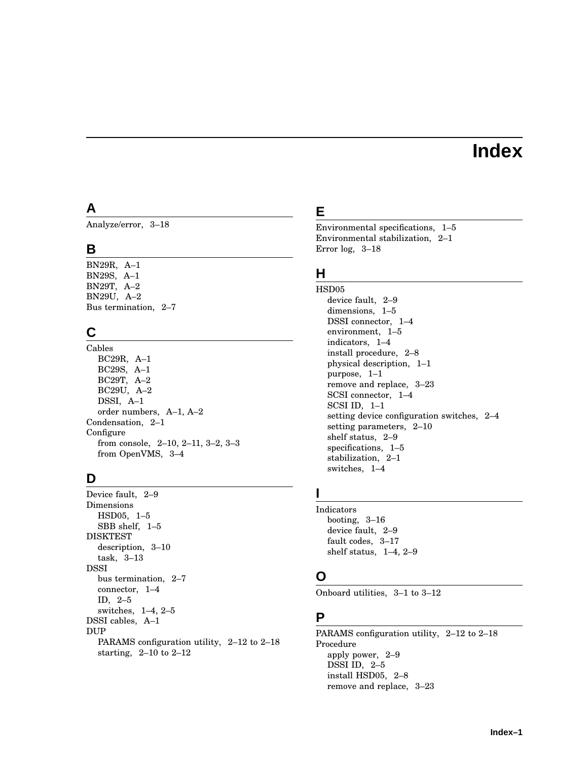## **Index**

## **A**

Analyze/error, 3–18

## **B**

BN29R, A–1 BN29S, A–1 BN29T, A–2 BN29U, A–2 Bus termination, 2–7

## **C**

Cables BC29R, A–1 BC29S, A–1 BC29T, A–2 BC29U, A–2 DSSI, A–1 order numbers, A–1, A–2 Condensation, 2–1 **Configure** from console, 2–10, 2–11, 3–2, 3–3 from OpenVMS, 3–4

## **D**

Device fault, 2–9 Dimensions HSD05, 1–5 SBB shelf, 1–5 DISKTEST description, 3–10 task, 3–13 DSSI bus termination, 2–7 connector, 1–4 ID, 2–5 switches, 1–4, 2–5 DSSI cables, A–1 DUP PARAMS configuration utility, 2–12 to 2–18 starting, 2–10 to 2–12

## **E**

Environmental specifications, 1–5 Environmental stabilization, 2–1 Error log, 3–18

## **H**

HSD05 device fault, 2–9 dimensions, 1–5 DSSI connector, 1–4 environment, 1–5 indicators, 1–4 install procedure, 2–8 physical description, 1–1 purpose, 1–1 remove and replace, 3–23 SCSI connector, 1–4 SCSI ID, 1–1 setting device configuration switches, 2–4 setting parameters, 2–10 shelf status, 2–9 specifications, 1–5 stabilization, 2–1 switches, 1–4

## **I**

Indicators booting, 3–16 device fault, 2–9 fault codes, 3–17 shelf status, 1–4, 2–9

## **O**

Onboard utilities, 3–1 to 3–12

## **P**

PARAMS configuration utility, 2–12 to 2–18 Procedure apply power, 2–9 DSSI ID, 2–5 install HSD05, 2–8 remove and replace, 3–23